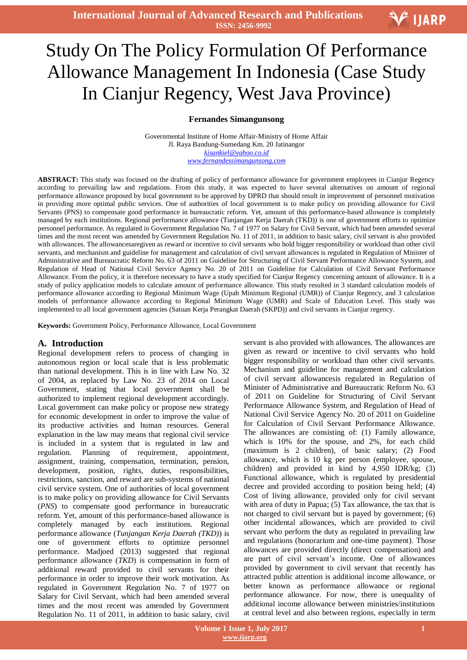# Ξ Study On The Policy Formulation Of Performance Allowance Management In Indonesia (Case Study In Cianjur Regency, West Java Province)

### **Fernandes Simangunsong**

Governmental Institute of Home Affair-Ministry of Home Affair Jl. Raya Bandung-Sumedang Km. 20 Jatinangor *kisankiel@yahoo.co.id www.fernandessimangunsong.com*

**ABSTRACT:** This study was focused on the drafting of policy of performance allowance for government employees in Cianjur Regency according to prevailing law and regulations. From this study, it was expected to have several alternatives on amount of regional performance allowance proposed by local government to be approved by DPRD that should result in improvement of personnel motivation in providing more optimal public services. One of authorities of local government is to make policy on providing allowance for Civil Servants (PNS) to compensate good performance in bureaucratic reform. Yet, amount of this performance-based allowance is completely managed by each institutions. Regional performance allowance (Tunjangan Kerja Daerah (TKD)) is one of government efforts to optimize personnel performance. As regulated in Government Regulation No. 7 of 1977 on Salary for Civil Servant, which had been amended several times and the most recent was amended by Government Regulation No. 11 of 2011, in addition to basic salary, civil servant is also provided with allowances. The allowancesaregiven as reward or incentive to civil servants who hold bigger responsibility or workload than other civil servants, and mechanism and guideline for management and calculation of civil servant allowances is regulated in Regulation of Minister of Administrative and Bureaucratic Reform No. 63 of 2011 on Guideline for Structuring of Civil Servant Performance Allowance System, and Regulation of Head of National Civil Service Agency No. 20 of 2011 on Guideline for Calculation of Civil Servant Performance Allowance. From the policy, it is therefore necessary to have a study specified for Cianjur Regency concerning amount of allowance. It is a study of policy application models to calculate amount of performance allowance. This study resulted in 3 standard calculation models of performance allowance according to Regional Minimum Wage (Upah Minimum Regional (UMR)) of Cianjur Regency, and 3 calculation models of performance allowance according to Regional Minimum Wage (UMR) and Scale of Education Level. This study was implemented to all local government agencies (Satuan Kerja Perangkat Daerah (SKPD)) and civil servants in Cianjur regency.

**Keywords:** Government Policy, Performance Allowance, Local Government

### **A. Introduction**

Regional development refers to process of changing in autonomous region or local scale that is less problematic than national development. This is in line with Law No. 32 of 2004, as replaced by Law No. 23 of 2014 on Local Government, stating that local government shall be authorized to implement regional development accordingly. Local government can make policy or propose new strategy for economic development in order to improve the value of its productive activities and human resources. General explanation in the law may means that regional civil service is included in a system that is regulated in law and regulation. Planning of requirement, appointment, assignment, training, compensation, termination, pension, development, position, rights, duties, responsibilities, restrictions, sanction, and reward are sub-systems of national civil service system. One of authorities of local government is to make policy on providing allowance for Civil Servants (*PNS*) to compensate good performance in bureaucratic reform. Yet, amount of this performance-based allowance is completely managed by each institutions. Regional performance allowance (*Tunjangan Kerja Daerah (TKD)*) is one of government efforts to optimize personnel performance. Madjoed (2013) suggested that regional performance allowance (*TKD*) is compensation in form of additional reward provided to civil servants for their performance in order to improve their work motivation. As regulated in Government Regulation No. 7 of 1977 on Salary for Civil Servant, which had been amended several times and the most recent was amended by Government Regulation No. 11 of 2011, in addition to basic salary, civil

servant is also provided with allowances. The allowances are given as reward or incentive to civil servants who hold bigger responsibility or workload than other civil servants. Mechanism and guideline for management and calculation of civil servant allowancesis regulated in Regulation of Minister of Administrative and Bureaucratic Reform No. 63 of 2011 on Guideline for Structuring of Civil Servant Performance Allowance System, and Regulation of Head of National Civil Service Agency No. 20 of 2011 on Guideline for Calculation of Civil Servant Performance Allowance. The allowances are consisting of: (1) Family allowance, which is 10% for the spouse, and 2%, for each child (maximum is 2 children), of basic salary; (2) Food allowance, which is 10 kg per person (employee, spouse, children) and provided in kind by 4,950 IDR/kg; (3) Functional allowance, which is regulated by presidential decree and provided according to position being held; (4) Cost of living allowance, provided only for civil servant with area of duty in Papua; (5) Tax allowance, the tax that is not charged to civil servant but is payed by government; (6) other incidental allowances, which are provided to civil servant who perform the duty as regulated in prevailing law and regulations (honorarium and one-time payment). Those allowances are provided directly (direct compensation) and are part of civil servant's income. One of allowances provided by government to civil servant that recently has attracted public attention is additional income allowance, or better known as performance allowance or regional performance allowance. For now, there is unequality of additional income allowance between ministries/institutions at central level and also between regions, especially in term

V IJARP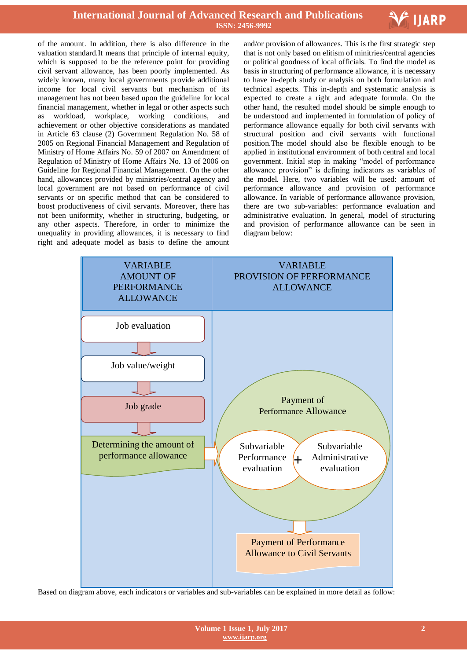

of the amount. In addition, there is also difference in the valuation standard.It means that principle of internal equity, which is supposed to be the reference point for providing civil servant allowance, has been poorly implemented. As widely known, many local governments provide additional income for local civil servants but mechanism of its management has not been based upon the guideline for local financial management, whether in legal or other aspects such as workload, workplace, working conditions, and achievement or other objective considerations as mandated in Article 63 clause (2) Government Regulation No. 58 of 2005 on Regional Financial Management and Regulation of Ministry of Home Affairs No. 59 of 2007 on Amendment of Regulation of Ministry of Home Affairs No. 13 of 2006 on Guideline for Regional Financial Management. On the other hand, allowances provided by ministries/central agency and local government are not based on performance of civil servants or on specific method that can be considered to boost productiveness of civil servants. Moreover, there has not been uniformity, whether in structuring, budgeting, or any other aspects. Therefore, in order to minimize the unequality in providing allowances, it is necessary to find right and adequate model as basis to define the amount

 and/or provision of allowances. This is the first strategic step that is not only based on elitism of minitries/central agencies or political goodness of local officials. To find the model as basis in structuring of performance allowance, it is necessary to have in-depth study or analysis on both formulation and technical aspects. This in-depth and systematic analysis is expected to create a right and adequate formula. On the other hand, the resulted model should be simple enough to be understood and implemented in formulation of policy of performance allowance equally for both civil servants with structural position and civil servants with functional position.The model should also be flexible enough to be applied in institutional environment of both central and local government. Initial step in making "model of performance allowance provision" is defining indicators as variables of the model. Here, two variables will be used: amount of performance allowance and provision of performance allowance. In variable of performance allowance provision, there are two sub-variables: performance evaluation and administrative evaluation. In general, model of structuring and provision of performance allowance can be seen in diagram below:



Based on diagram above, each indicators or variables and sub-variables can be explained in more detail as follow: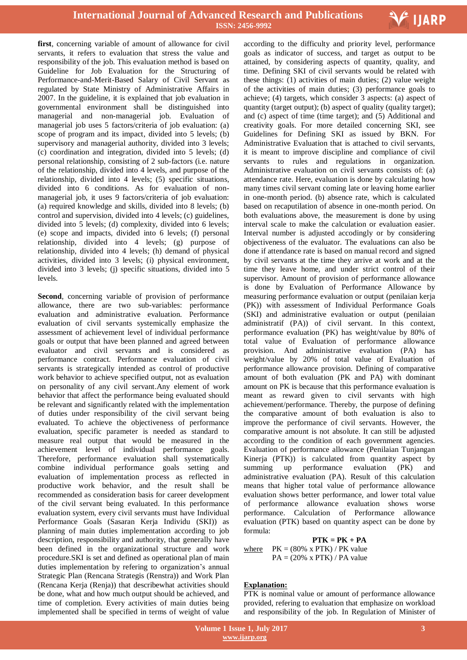

**first**, concerning variable of amount of allowance for civil servants, it refers to evaluation that stress the value and responsibility of the job. This evaluation method is based on Guideline for Job Evaluation for the Structuring of Performance-and-Merit-Based Salary of Civil Servant as regulated by State Ministry of Administrative Affairs in 2007. In the guideline, it is explained that job evaluation in governmental environment shall be distinguished into managerial and non-managerial job. Evaluation of managerial job uses 5 factors/criteria of job evaluation: (a) scope of program and its impact, divided into 5 levels; (b) supervisory and managerial authority, divided into 3 levels; (c) coordination and integration, divided into 5 levels; (d) personal relationship, consisting of 2 sub-factors (i.e. nature of the relationship, divided into 4 levels, and purpose of the relationship, divided into 4 levels; (5) specific situations, divided into 6 conditions. As for evaluation of nonmanagerial job, it uses 9 factors/criteria of job evaluation: (a) required knowledge and skills, divided into 8 levels; (b) control and supervision, divided into 4 levels; (c) guidelines, divided into 5 levels; (d) complexity, divided into 6 levels; (e) scope and impacts, divided into 6 levels; (f) personal relationship, divided into 4 levels; (g) purpose of relationship, divided into 4 levels; (h) demand of physical activities, divided into 3 levels; (i) physical environment, divided into 3 levels; (j) specific situations, divided into 5 levels.

**Second**, concerning variable of provision of performance allowance, there are two sub-variables: performance evaluation and administrative evaluation. Performance evaluation of civil servants systemically emphasize the assessment of achievement level of individual performance goals or output that have been planned and agreed between evaluator and civil servants and is considered as performance contract. Performance evaluation of civil servants is strategically intended as control of productive work behavior to achieve specified output, not as evaluation on personality of any civil servant.Any element of work behavior that affect the performance being evaluated should be relevant and significantly related with the implementation of duties under responsibility of the civil servant being evaluated. To achieve the objectiveness of performance evaluation, specific parameter is needed as standard to measure real output that would be measured in the achievement level of individual performance goals. Therefore, performance evaluation shall systematically combine individual performance goals setting and evaluation of implementation process as reflected in productive work behavior, and the result shall be recommended as consideration basis for career development of the civil servant being evaluated. In this performance evaluation system, every civil servants must have Individual Performance Goals (Sasaran Kerja Individu (SKI)) as planning of main duties implementation according to job description, responsibility and authority, that generally have been defined in the organizational structure and work procedure.SKI is set and defined as operational plan of main duties implementation by refering to organization's annual Strategic Plan (Rencana Strategis (Renstra)) and Work Plan (Rencana Kerja (Renja)) that describewhat activities should be done, what and how much output should be achieved, and time of completion. Every activities of main duties being implemented shall be specified in terms of weight of value

 according to the difficulty and priority level, performance goals as indicator of success, and target as output to be attained, by considering aspects of quantity, quality, and time. Defining SKI of civil servants would be related with these things: (1) activities of main duties; (2) value weight of the activities of main duties; (3) performance goals to achieve; (4) targets, which consider 3 aspects: (a) aspect of quantity (target output); (b) aspect of quality (quality target); and (c) aspect of time (time target); and (5) Additional and creativity goals. For more detailed concerning SKI, see Guidelines for Defining SKI as issued by BKN. For Administrative Evaluation that is attached to civil servants, it is meant to improve discipline and compliance of civil servants to rules and regulations in organization. Administrative evaluation on civil servants consists of: (a) attendance rate. Here, evaluation is done by calculating how many times civil servant coming late or leaving home earlier in one-month period. (b) absence rate, which is calculated based on recaputilation of absence in one-month period. On both evaluations above, the measurement is done by using interval scale to make the calculation or evaluation easier. Interval number is adjusted accodingly or by considering objectiveness of the evaluator. The evaluations can also be done if attendance rate is based on manual record and signed by civil servants at the time they arrive at work and at the time they leave home, and under strict control of their supervisor. Amount of provision of performance allowance is done by Evaluation of Performance Allowance by measuring performance evaluation or output (penilaian kerja (PK)) with assessment of Individual Performance Goals (SKI) and administrative evaluation or output (penilaian administratif (PA)) of civil servant. In this context, performance evaluation (PK) has weight/value by 80% of total value of Evaluation of performance allowance provision. And administrative evaluation (PA) has weight/value by 20% of total value of Evaluation of performance allowance provision. Defining of comparative amount of both evaluation (PK and PA) with dominant amount on PK is because that this performance evaluation is meant as reward given to civil servants with high achievement/performance. Thereby, the purpose of defining the comparative amount of both evaluation is also to improve the performance of civil servants. However, the comparative amount is not absolute. It can still be adjusted according to the condition of each government agencies. Evaluation of performance allowance (Penilaian Tunjangan Kinerja (PTK)) is calculated from quantity aspect by summing up performance evaluation (PK) and administrative evaluation (PA). Result of this calculation means that higher total value of performance allowance evaluation shows better performance, and lower total value of performance allowance evaluation shows worse performance. Calculation of Performance allowance evaluation (PTK) based on quantity aspect can be done by formula:

### **PTK = PK + PA**

where  $PK = (80\% \text{ x } PTK) / PK$  value  $PA = (20\% \times PTK) / PA$  value

### **Explanation:**

PTK is nominal value or amount of performance allowance provided, refering to evaluation that emphasize on workload and responsibility of the job. In Regulation of Minister of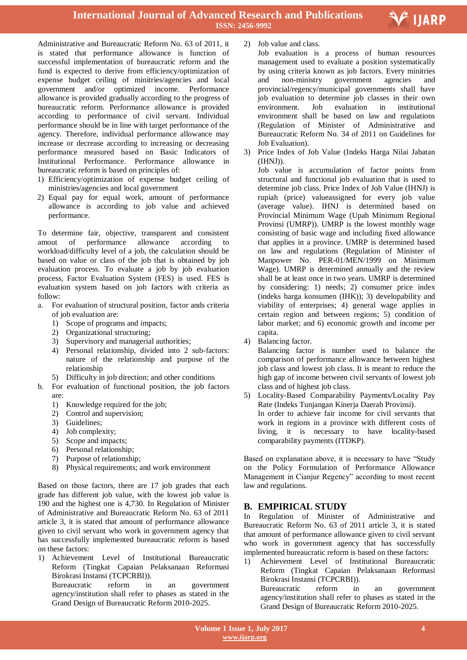

Administrative and Bureaucratic Reform No. 63 of 2011, it is stated that performance allowance is function of successful implementation of bureaucratic reform and the fund is expected to derive from efficiency/optimization of expense budget ceiling of minitries/agencies and local government and/or optimized income. Performance allowance is provided gradually according to the progress of bureaucratic reform. Performance allowance is provided according to performance of civil servant. Individual performance should be in line with target performance of the agency. Therefore, individual performance allowance may increase or decrease according to increasing or decreasing performance measured based on Basic Indicators of Institutional Performance. Performance allowance in bureaucratic reform is based on principles of:

- 1) Efficiency/optimization of expense budget ceiling of ministries/agencies and local government
- 2) Equal pay for equal work, amount of performance allowance is according to job value and achieved performance.

To determine fair, objective, transparent and consistent amout of performance allowance according to workload/difficulty level of a job, the calculation should be based on value or class of the job that is obtained by job evaluation process. To evaluate a job by job evaluation process, Factor Evaluation System (FES) is used. FES is evaluation system based on job factors with criteria as follow:

- a. For evaluation of structural position, factor ands criteria of job evaluation are:
	- 1) Scope of programs and impacts;
	- 2) Organizational structuring;
	- 3) Supervisory and managerial authorities;
	- 4) Personal relationship, divided into 2 sub-factors: nature of the relationship and purpose of the relationship
	- 5) Difficulty in job direction; and other conditions
- b. For evaluation of functional position, the job factors are:
	- 1) Knowledge required for the job;
	- 2) Control and supervision;
	- 3) Guidelines;
	- 4) Job complexity;
	- 5) Scope and impacts;
	- 6) Personal relationship;
	- 7) Purpose of relationship;
	- 8) Physical requirements; and work environment

Based on those factors, there are 17 job grades that each grade has different job value, with the lowest job value is 190 and the highest one is 4,730. In Regulation of Minister of Administrative and Bureaucratic Reform No. 63 of 2011 article 3, it is stated that amount of performance allowance given to civil servant who work in government agency that has successfully implemented bureaucratic reform is based on these factors:

1) Achievement Level of Institutional Bureaucratic Reform (Tingkat Capaian Pelaksanaan Reformasi Birokrasi Instansi (TCPCRBI)). Bureaucratic reform in an government agency/institution shall refer to phases as stated in the Grand Design of Bureaucratic Reform 2010-2025.

- 2) Job value and class.
	- Job evaluation is a process of human resources management used to evaluate a position systematically by using criteria known as job factors. Every minitries and non-ministry government agencies and provincial/regency/municipal governments shall have job evaluation to determine job classes in their own environment. Job evaluation in institutional environment shall be based on law and regulations (Regulation of Minister of Administrative and Bureaucratic Reform No. 34 of 2011 on Guidelines for Job Evaluation).
- 3) Price Index of Job Value (Indeks Harga Nilai Jabatan (IHNJ)).

Job value is accumulation of factor points from structural and functional job evaluation that is used to determine job class. Price Index of Job Value (IHNJ) is rupiah (price) valueassigned for every job value (average value). IHNJ is determined based on Provincial Minimum Wage (Upah Minimum Regional Provinsi (UMRP)). UMRP is the lowest monthly wage consisting of basic wage and including fixed allowance that applies in a province. UMRP is determined based on law and regulations (Regulation of Minister of Manpower No. PER-01/MEN/1999 on Minimum Wage). UMRP is determined annually and the review shall be at least once in two years. UMRP is determined by considering: 1) needs; 2) consumer price index (indeks harga konsumen (IHK)); 3) developability and viability of enterprises; 4) general wage applies in certain region and between regions; 5) condition of labor market; and 6) economic growth and income per capita.

4) Balancing factor.

Balancing factor is number used to balance the comparison of performance allowance between highest job class and lowest job class. It is meant to reduce the high gap of income between civil servants of lowest job class and of highest job class.

5) Locality-Based Comparability Payments/Locality Pay Rate (Indeks Tunjangan Kinerja Daerah Provinsi). In order to achieve fair income for civil servants that work in regions in a province with different costs of living, it is necessary to have locality-based comparability payments (ITDKP).

Based on explanation above, it is necessary to have "Study on the Policy Formulation of Performance Allowance Management in Cianjur Regency" according to most recent law and regulations.

### **B. EMPIRICAL STUDY**

In Regulation of Minister of Administrative and Bureaucratic Reform No. 63 of 2011 article 3, it is stated that amount of performance allowance given to civil servant who work in government agency that has successfully implemented bureaucratic reform is based on these factors:

1) Achievement Level of Institutional Bureaucratic Reform (Tingkat Capaian Pelaksanaan Reformasi Birokrasi Instansi (TCPCRBI)). Bureaucratic reform in an government

agency/institution shall refer to phases as stated in the Grand Design of Bureaucratic Reform 2010-2025.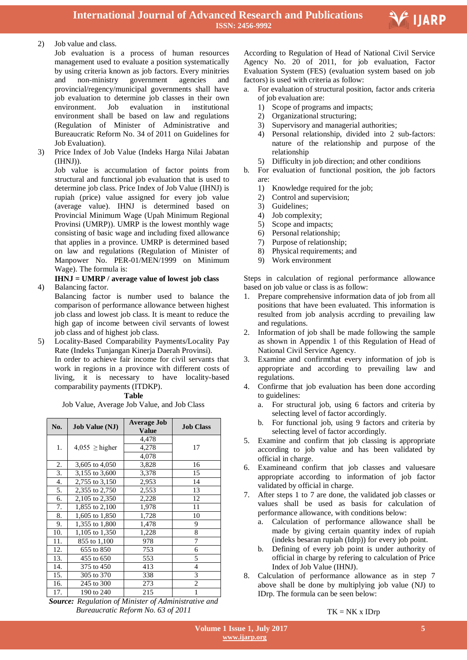

#### 2) Job value and class.

- Job evaluation is a process of human resources management used to evaluate a position systematically by using criteria known as job factors. Every minitries and non-ministry government agencies and provincial/regency/municipal governments shall have job evaluation to determine job classes in their own environment. Job evaluation in institutional environment shall be based on law and regulations (Regulation of Minister of Administrative and Bureaucratic Reform No. 34 of 2011 on Guidelines for Job Evaluation).
- 3) Price Index of Job Value (Indeks Harga Nilai Jabatan (IHNJ)).

Job value is accumulation of factor points from structural and functional job evaluation that is used to determine job class. Price Index of Job Value (IHNJ) is rupiah (price) value assigned for every job value (average value). IHNJ is determined based on Provincial Minimum Wage (Upah Minimum Regional Provinsi (UMRP)). UMRP is the lowest monthly wage consisting of basic wage and including fixed allowance that applies in a province. UMRP is determined based on law and regulations (Regulation of Minister of Manpower No. PER-01/MEN/1999 on Minimum Wage). The formula is:

#### **IHNJ = UMRP / average value of lowest job class** 4) Balancing factor.

Balancing factor is number used to balance the comparison of performance allowance between highest job class and lowest job class. It is meant to reduce the high gap of income between civil servants of lowest job class and of highest job class.

5) Locality-Based Comparability Payments/Locality Pay Rate (Indeks Tunjangan Kinerja Daerah Provinsi). In order to achieve fair income for civil servants that work in regions in a province with different costs of living, it is necessary to have locality-based comparability payments (ITDKP).

**Table** 

Job Value, Average Job Value, and Job Class

| No.              | <b>Job Value (NJ)</b> | <b>Average Job</b><br><b>Value</b> | <b>Job Class</b> |
|------------------|-----------------------|------------------------------------|------------------|
|                  |                       | 4,478                              |                  |
| 1.               | $4,055 \geq$ higher   | 4,278                              | 17               |
|                  |                       | 4,078                              |                  |
| 2.               | 3,605 to 4,050        | 3,828                              | 16               |
| 3.               | 3,155 to 3,600        | 3,378                              | 15               |
| $\overline{4}$ . | 2,755 to 3,150        | 2,953                              | 14               |
| 5.               | 2,355 to 2,750        | 2,553                              | 13               |
| 6.               | 2,105 to 2,350        | 2,228                              | 12               |
| 7.               | 1,855 to 2,100        | 1,978                              | 11               |
| 8.               | 1,605 to 1,850        | 1,728                              | 10               |
| 9.               | 1,355 to 1,800        | 1,478                              | 9                |
| 10.              | 1,105 to 1,350        | 1,228                              | 8                |
| 11.              | 855 to 1,100          | 978                                | 7                |
| 12.              | 655 to 850            | 753                                | 6                |
| 13.              | 455 to 650            | 553                                | 5                |
| 14.              | 375 to 450            | 413                                | 4                |
| 15.              | 305 to 370            | 338                                | 3                |
| 16.              | 245 to 300            | 273                                | 2                |
| 17.              | 190 to 240            | 215                                | 1                |

*Source: Regulation of Minister of Administrative and Bureaucratic Reform No. 63 of 2011*

According to Regulation of Head of National Civil Service Agency No. 20 of 2011, for job evaluation, Factor Evaluation System (FES) (evaluation system based on job factors) is used with criteria as follow:

- a. For evaluation of structural position, factor ands criteria of job evaluation are:
	- 1) Scope of programs and impacts;
	- 2) Organizational structuring;
	- 3) Supervisory and managerial authorities;
	- 4) Personal relationship, divided into 2 sub-factors: nature of the relationship and purpose of the relationship
	- 5) Difficulty in job direction; and other conditions
- b. For evaluation of functional position, the job factors are:
	- 1) Knowledge required for the job;
	- 2) Control and supervision;
	- 3) Guidelines;
	- 4) Job complexity;
	- 5) Scope and impacts;
	- 6) Personal relationship;
	- 7) Purpose of relationship;
	- 8) Physical requirements; and
	- 9) Work environment

Steps in calculation of regional performance allowance based on job value or class is as follow:

- 1. Prepare comprehensive information data of job from all positions that have been evaluated. This information is resulted from job analysis accrding to prevailing law and regulations.
- 2. Information of job shall be made following the sample as shown in Appendix 1 of this Regulation of Head of National Civil Service Agency.
- 3. Examine and confirmthat every information of job is appropriate and according to prevailing law and regulations.
- 4. Confirme that job evaluation has been done according to guidelines:
	- a. For structural job, using 6 factors and criteria by selecting level of factor accordingly.
	- b. For functional job, using 9 factors and criteria by selecting level of factor accordingly.
- 5. Examine and confirm that job classing is appropriate according to job value and has been validated by official in charge.
- 6. Examineand confirm that job classes and valuesare appropriate according to information of job factor validated by official in charge.
- 7. After steps 1 to 7 are done, the validated job classes or values shall be used as basis for calculation of performance allowance, with conditions below:
	- a. Calculation of performance allowance shall be made by giving certain quantity index of rupiah (indeks besaran rupiah (Idrp)) for every job point.
	- b. Defining of every job point is under authority of official in charge by refering to calculation of Price Index of Job Value (IHNJ).
- 8. Calculation of performance allowance as in step 7 above shall be done by multiplying job value (NJ) to IDrp. The formula can be seen below:

#### $TK = NK x IDrp$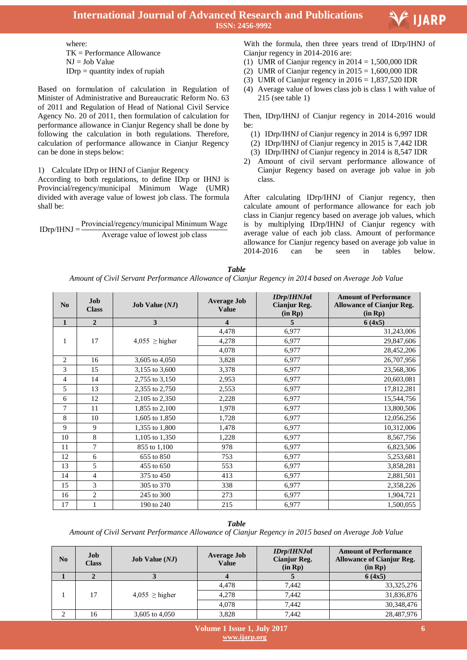



where: TK = Performance Allowance  $NJ = Job Value$  $IDrp =$  quantity index of rupiah

Based on formulation of calculation in Regulation of Minister of Administrative and Bureaucratic Reform No. 63 of 2011 and Regulation of Head of National Civil Service Agency No. 20 of 2011, then formulation of calculation for performance allowance in Cianjur Regency shall be done by following the calculation in both regulations. Therefore, calculation of performance allowance in Cianjur Regency can be done in steps below:

1) Calculate IDrp or IHNJ of Cianjur Regency

According to both regulations, to define IDrp or IHNJ is Provincial/regency/municipal Minimum Wage (UMR) divided with average value of lowest job class. The formula shall be:

 $IDrn/IHNJ =$ Provincial/regency/municipal Minimum Wage Average value of lowest job class

 With the formula, then three years trend of IDrp/IHNJ of Cianjur regency in 2014-2016 are:

- (1) UMR of Cianjur regency in  $2014 = 1,500,000$  IDR
- (2) UMR of Cianjur regency in  $2015 = 1,600,000$  IDR
- (3) UMR of Cianjur regency in  $2016 = 1,837,520$  IDR
- (4) Average value of lowes class job is class 1 with value of 215 (see table 1)

Then, IDrp/IHNJ of Cianjur regency in 2014-2016 would be:

- (1) IDrp/IHNJ of Cianjur regency in 2014 is 6,997 IDR
- (2) IDrp/IHNJ of Cianjur regency in 2015 is 7,442 IDR
- (3) IDrp/IHNJ of Cianjur regency in 2014 is 8,547 IDR
- 2) Amount of civil servant performance allowance of Cianjur Regency based on average job value in job class.

After calculating IDrp/IHNJ of Cianjur regency, then calculate amount of performance allowance for each job class in Cianjur regency based on average job values, which is by multiplying IDrp/IHNJ of Cianjur regency with average value of each job class. Amount of performance allowance for Cianjur regency based on average job value in 2014-2016 can be seen in tables below.

*Table*

*Amount of Civil Servant Performance Allowance of Cianjur Regency in 2014 based on Average Job Value*

| N <sub>0</sub> | Job<br><b>Class</b> | <b>Job Value</b> $(NJ)$ | <b>Average Job</b><br><b>Value</b> | <b>IDrp/IHNJof</b><br><b>Cianjur Reg.</b><br>(in Rp) | <b>Amount of Performance</b><br><b>Allowance of Cianjur Reg.</b><br>$(in$ $Rp)$ |
|----------------|---------------------|-------------------------|------------------------------------|------------------------------------------------------|---------------------------------------------------------------------------------|
| $\mathbf{1}$   | $\overline{2}$      | 3                       | 4                                  | 5                                                    | 6(4x5)                                                                          |
|                |                     |                         | 4,478                              | 6,977                                                | 31,243,006                                                                      |
| 1              | 17                  | $4,055 \geq$ higher     | 4,278                              | 6,977                                                | 29,847,606                                                                      |
|                |                     |                         | 4,078                              | 6,977                                                | 28,452,206                                                                      |
| 2              | 16                  | 3,605 to 4,050          | 3,828                              | 6,977                                                | 26,707,956                                                                      |
| 3              | 15                  | 3,155 to 3,600          | 3,378                              | 6,977                                                | 23,568,306                                                                      |
| 4              | 14                  | 2,755 to 3,150          | 2,953                              | 6,977                                                | 20,603,081                                                                      |
| 5              | 13                  | 2,355 to 2,750          | 2,553                              | 6,977                                                | 17,812,281                                                                      |
| 6              | 12                  | 2,105 to 2,350          | 2,228                              | 6,977                                                | 15,544,756                                                                      |
| 7              | 11                  | 1,855 to 2,100          | 1,978                              | 6,977                                                | 13,800,506                                                                      |
| 8              | 10                  | 1,605 to 1,850          | 1,728                              | 6,977                                                | 12,056,256                                                                      |
| 9              | 9                   | 1,355 to 1,800          | 1,478                              | 6,977                                                | 10,312,006                                                                      |
| 10             | $\,$ 8 $\,$         | 1,105 to 1,350          | 1,228                              | 6,977                                                | 8,567,756                                                                       |
| 11             | 7                   | 855 to 1,100            | 978                                | 6,977                                                | 6,823,506                                                                       |
| 12             | 6                   | 655 to 850              | 753                                | 6,977                                                | 5,253,681                                                                       |
| 13             | 5                   | 455 to 650              | 553                                | 6,977                                                | 3,858,281                                                                       |
| 14             | 4                   | 375 to 450              | 413                                | 6,977                                                | 2,881,501                                                                       |
| 15             | 3                   | 305 to 370              | 338                                | 6,977                                                | 2,358,226                                                                       |
| 16             | $\overline{c}$      | 245 to 300              | 273                                | 6,977                                                | 1,904,721                                                                       |
| 17             | 1                   | 190 to 240              | 215                                | 6,977                                                | 1,500,055                                                                       |

*Table* 

*Amount of Civil Servant Performance Allowance of Cianjur Regency in 2015 based on Average Job Value*

| N <sub>0</sub> | Job<br><b>Class</b> | <b>Job Value</b> $(NJ)$ | <b>Average Job</b><br><b>Value</b> | <i><b>IDrp/IHNJof</b></i><br>Cianjur Reg.<br>(in Rp) | <b>Amount of Performance</b><br><b>Allowance of Cianjur Reg.</b><br>(in Rp) |
|----------------|---------------------|-------------------------|------------------------------------|------------------------------------------------------|-----------------------------------------------------------------------------|
|                |                     |                         |                                    |                                                      | 6(4x5)                                                                      |
|                |                     |                         | 4.478                              | 7.442                                                | 33, 325, 276                                                                |
|                | 17                  | $4.055 \geq$ higher     | 4.278                              | 7.442                                                | 31,836,876                                                                  |
|                |                     |                         | 4.078                              | 7.442                                                | 30,348,476                                                                  |
|                | 16                  | 3,605 to 4,050          | 3,828                              | 7.442                                                | 28,487,976                                                                  |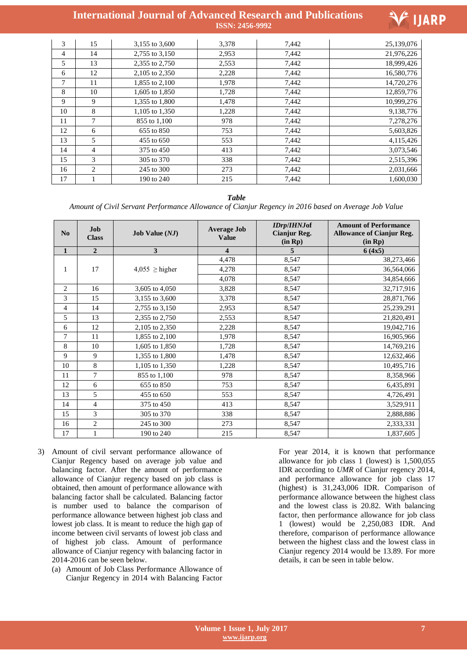

| 3  | 15             | 3,155 to 3,600 | 3,378 | 7,442 | 25,139,076 |
|----|----------------|----------------|-------|-------|------------|
| 4  | 14             | 2,755 to 3,150 | 2,953 | 7,442 | 21,976,226 |
| 5  | 13             | 2,355 to 2,750 | 2,553 | 7,442 | 18,999,426 |
| 6  | 12             | 2,105 to 2,350 | 2,228 | 7,442 | 16,580,776 |
| 7  | 11             | 1,855 to 2,100 | 1.978 | 7,442 | 14,720,276 |
| 8  | 10             | 1,605 to 1,850 | 1,728 | 7,442 | 12,859,776 |
| 9  | 9              | 1,355 to 1,800 | 1,478 | 7,442 | 10,999,276 |
| 10 | 8              | 1,105 to 1,350 | 1,228 | 7,442 | 9,138,776  |
| 11 | 7              | 855 to 1,100   | 978   | 7,442 | 7,278,276  |
| 12 | 6              | 655 to 850     | 753   | 7,442 | 5,603,826  |
| 13 | 5              | 455 to 650     | 553   | 7,442 | 4,115,426  |
| 14 | $\overline{4}$ | 375 to 450     | 413   | 7,442 | 3,073,546  |
| 15 | 3              | 305 to 370     | 338   | 7,442 | 2,515,396  |
| 16 | $\overline{c}$ | 245 to 300     | 273   | 7,442 | 2,031,666  |
| 17 |                | 190 to 240     | 215   | 7,442 | 1,600,030  |

#### *Table*

*Amount of Civil Servant Performance Allowance of Cianjur Regency in 2016 based on Average Job Value*

| N <sub>0</sub> | <b>Job</b><br><b>Class</b> | <b>Job Value</b> $(NJ)$ | <b>Average Job</b><br><b>Value</b> | <b>IDrp/IHNJof</b><br><b>Cianjur Reg.</b><br>(in Rp) | <b>Amount of Performance</b><br><b>Allowance of Cianjur Reg.</b><br>(in Rp) |
|----------------|----------------------------|-------------------------|------------------------------------|------------------------------------------------------|-----------------------------------------------------------------------------|
| $\mathbf{1}$   | $\boldsymbol{2}$           | 3                       | 4                                  | 5                                                    | 6(4x5)                                                                      |
|                |                            |                         | 4,478                              | 8,547                                                | 38,273,466                                                                  |
| 1              | 17                         | $4,055 \geq$ higher     | 4,278                              | 8,547                                                | 36,564,066                                                                  |
|                |                            |                         | 4,078                              | 8,547                                                | 34,854,666                                                                  |
| $\overline{c}$ | 16                         | 3,605 to 4,050          | 3,828                              | 8,547                                                | 32,717,916                                                                  |
| 3              | 15                         | 3,155 to 3,600          | 3,378                              | 8,547                                                | 28,871,766                                                                  |
| 4              | 14                         | 2,755 to 3,150          | 2,953                              | 8,547                                                | 25,239,291                                                                  |
| 5              | 13                         | 2,355 to 2,750          | 2,553                              | 8,547                                                | 21,820,491                                                                  |
| 6              | 12                         | 2,105 to 2,350          | 2,228                              | 8,547                                                | 19,042,716                                                                  |
| $\overline{7}$ | 11                         | 1,855 to 2,100          | 1,978                              | 8,547                                                | 16,905,966                                                                  |
| 8              | 10                         | 1,605 to 1,850          | 1,728                              | 8,547                                                | 14,769,216                                                                  |
| 9              | 9                          | 1,355 to 1,800          | 1,478                              | 8,547                                                | 12,632,466                                                                  |
| 10             | 8                          | 1,105 to 1,350          | 1,228                              | 8,547                                                | 10,495,716                                                                  |
| 11             | 7                          | 855 to 1,100            | 978                                | 8,547                                                | 8,358,966                                                                   |
| 12             | 6                          | 655 to 850              | 753                                | 8,547                                                | 6,435,891                                                                   |
| 13             | 5                          | 455 to 650              | 553                                | 8,547                                                | 4,726,491                                                                   |
| 14             | 4                          | 375 to 450              | 413                                | 8,547                                                | 3,529,911                                                                   |
| 15             | 3                          | 305 to 370              | 338                                | 8,547                                                | 2,888,886                                                                   |
| 16             | $\overline{c}$             | 245 to 300              | 273                                | 8,547                                                | 2,333,331                                                                   |
| 17             | $\mathbf{1}$               | 190 to 240              | 215                                | 8,547                                                | 1,837,605                                                                   |

- 3) Amount of civil servant performance allowance of Cianjur Regency based on average job value and balancing factor. After the amount of performance allowance of Cianjur regency based on job class is obtained, then amount of performance allowance with balancing factor shall be calculated. Balancing factor is number used to balance the comparison of performance allowance between highest job class and lowest job class. It is meant to reduce the high gap of income between civil servants of lowest job class and of highest job class. Amount of performance allowance of Cianjur regency with balancing factor in 2014-2016 can be seen below.
	- (a) Amount of Job Class Performance Allowance of Cianjur Regency in 2014 with Balancing Factor

For year 2014, it is known that performance allowance for job class 1 (lowest) is 1,500,055 IDR according to *UMR* of Cianjur regency 2014, and performance allowance for job class 17 (highest) is 31,243,006 IDR. Comparison of performance allowance between the highest class and the lowest class is 20.82. With balancing factor, then performance allowance for job class 1 (lowest) would be 2,250,083 IDR. And therefore, comparison of performance allowance between the highest class and the lowest class in Cianjur regency 2014 would be 13.89. For more details, it can be seen in table below.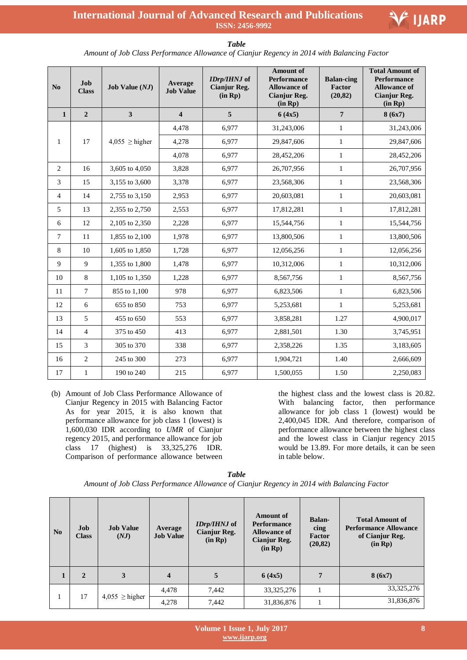| No             | Job<br><b>Class</b> | <b>Job Value</b> $(NJ)$ | Average<br><b>Job Value</b> | IDrp/IHNJ of<br><b>Cianjur Reg.</b><br>(in Rp) | <b>Amount of</b><br>Performance<br><b>Allowance of</b><br><b>Cianjur Reg.</b><br>(in Rp) | <b>Balan-cing</b><br>Factor<br>(20, 82) | <b>Total Amount of</b><br><b>Performance</b><br><b>Allowance of</b><br><b>Cianjur Reg.</b><br>(in Rp) |
|----------------|---------------------|-------------------------|-----------------------------|------------------------------------------------|------------------------------------------------------------------------------------------|-----------------------------------------|-------------------------------------------------------------------------------------------------------|
| $\mathbf{1}$   | $\overline{2}$      | $\overline{\mathbf{3}}$ | $\overline{\mathbf{4}}$     | $\overline{5}$                                 | 6(4x5)                                                                                   | $\overline{7}$                          | 8(6x7)                                                                                                |
|                |                     |                         | 4,478                       | 6,977                                          | 31,243,006                                                                               | $\mathbf{1}$                            | 31,243,006                                                                                            |
| $\mathbf{1}$   | 17                  | $4,055 \geq$ higher     | 4,278                       | 6,977                                          | 29,847,606                                                                               | $\mathbf{1}$                            | 29,847,606                                                                                            |
|                |                     |                         | 4,078                       | 6,977                                          | 28,452,206                                                                               | $\mathbf{1}$                            | 28,452,206                                                                                            |
| $\overline{c}$ | 16                  | 3,605 to 4,050          | 3,828                       | 6,977                                          | 26,707,956                                                                               | $\mathbf{1}$                            | 26,707,956                                                                                            |
| 3              | 15                  | 3,155 to 3,600          | 3,378                       | 6,977                                          | 23,568,306                                                                               | $\mathbf{1}$                            | 23,568,306                                                                                            |
| $\overline{4}$ | 14                  | 2,755 to 3,150          | 2,953                       | 6,977                                          | 20,603,081                                                                               | $\mathbf{1}$                            | 20,603,081                                                                                            |
| 5              | 13                  | 2,355 to 2,750          | 2,553                       | 6,977                                          | 17,812,281                                                                               | $\mathbf{1}$                            | 17,812,281                                                                                            |
| $6\,$          | 12                  | 2,105 to 2,350          | 2,228                       | 6,977                                          | 15,544,756                                                                               | $\mathbf{1}$                            | 15,544,756                                                                                            |
| $\tau$         | 11                  | 1,855 to 2,100          | 1,978                       | 6,977                                          | 13,800,506                                                                               | $\mathbf{1}$                            | 13,800,506                                                                                            |
| 8              | 10                  | 1,605 to 1,850          | 1,728                       | 6,977                                          | 12,056,256                                                                               | $\mathbf{1}$                            | 12,056,256                                                                                            |
| 9              | 9                   | 1,355 to 1,800          | 1,478                       | 6,977                                          | 10,312,006                                                                               | $\mathbf{1}$                            | 10,312,006                                                                                            |
| 10             | 8                   | 1,105 to 1,350          | 1,228                       | 6,977                                          | 8,567,756                                                                                | $\mathbf{1}$                            | 8,567,756                                                                                             |
| 11             | $\tau$              | 855 to 1,100            | 978                         | 6,977                                          | 6,823,506                                                                                | $\mathbf{1}$                            | 6,823,506                                                                                             |
| 12             | 6                   | 655 to 850              | 753                         | 6,977                                          | 5,253,681                                                                                | $\mathbf{1}$                            | 5,253,681                                                                                             |
| 13             | 5                   | 455 to 650              | 553                         | 6,977                                          | 3,858,281                                                                                | 1.27                                    | 4,900,017                                                                                             |
| 14             | $\overline{4}$      | 375 to 450              | 413                         | 6,977                                          | 2,881,501                                                                                | 1.30                                    | 3,745,951                                                                                             |
| 15             | 3                   | 305 to 370              | 338                         | 6,977                                          | 2,358,226                                                                                | 1.35                                    | 3,183,605                                                                                             |
| 16             | $\overline{2}$      | 245 to 300              | 273                         | 6,977                                          | 1,904,721                                                                                | 1.40                                    | 2,666,609                                                                                             |
| 17             | 1                   | 190 to 240              | 215                         | 6,977                                          | 1,500,055                                                                                | 1.50                                    | 2,250,083                                                                                             |

*Table* 

*Amount of Job Class Performance Allowance of Cianjur Regency in 2014 with Balancing Factor*

(b) Amount of Job Class Performance Allowance of Cianjur Regency in 2015 with Balancing Factor As for year 2015, it is also known that performance allowance for job class 1 (lowest) is 1,600,030 IDR according to *UMR* of Cianjur regency 2015, and performance allowance for job class 17 (highest) is 33,325,276 IDR. Comparison of performance allowance between

the highest class and the lowest class is 20.82. With balancing factor, then performance allowance for job class 1 (lowest) would be 2,400,045 IDR. And therefore, comparison of performance allowance between the highest class and the lowest class in Cianjur regency 2015 would be 13.89. For more details, it can be seen in table below.

*Table Amount of Job Class Performance Allowance of Cianjur Regency in 2014 with Balancing Factor*

| $\mathbf{N}\mathbf{0}$ | Job<br><b>Class</b> | <b>Job Value</b><br>(NJ) | Average<br><b>Job Value</b> | <i>IDrp/IHNJ</i> of<br><b>Cianjur Reg.</b><br>(in Rp) | Amount of<br><b>Performance</b><br><b>Allowance of</b><br>Cianjur Reg.<br>(in Rp) | <b>Balan-</b><br>cing<br>Factor<br>(20, 82) | <b>Total Amount of</b><br><b>Performance Allowance</b><br>of Cianjur Reg.<br>(in Rp) |
|------------------------|---------------------|--------------------------|-----------------------------|-------------------------------------------------------|-----------------------------------------------------------------------------------|---------------------------------------------|--------------------------------------------------------------------------------------|
| -1                     | $\mathbf{2}$        | 3                        | $\overline{\mathbf{4}}$     | 5                                                     | 6(4x5)                                                                            | $\overline{7}$                              | 8(6x7)                                                                               |
|                        | 17                  |                          | 4,478                       | 7,442                                                 | 33, 325, 276                                                                      |                                             | 33, 325, 276                                                                         |
|                        |                     | $4,055 \geq$ higher      | 4,278                       | 7,442                                                 | 31,836,876                                                                        |                                             | 31,836,876                                                                           |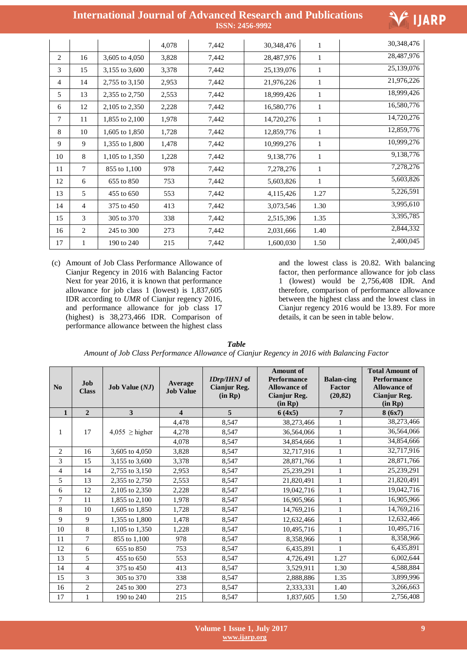| <b>International Journal of Advanced Research and Publications</b> |                        |  |
|--------------------------------------------------------------------|------------------------|--|
|                                                                    | <b>ISSN: 2456-9992</b> |  |



|                |                |                | 4,078 | 7,442 | 30,348,476 | $\mathbf{1}$ | 30,348,476 |
|----------------|----------------|----------------|-------|-------|------------|--------------|------------|
| 2              | 16             | 3,605 to 4,050 | 3,828 | 7,442 | 28,487,976 | 1            | 28,487,976 |
| 3              | 15             | 3,155 to 3,600 | 3,378 | 7,442 | 25,139,076 | 1            | 25,139,076 |
| $\overline{4}$ | 14             | 2,755 to 3,150 | 2,953 | 7,442 | 21,976,226 | 1            | 21,976,226 |
| 5              | 13             | 2,355 to 2,750 | 2,553 | 7,442 | 18,999,426 | 1            | 18,999,426 |
| 6              | 12             | 2,105 to 2,350 | 2,228 | 7,442 | 16,580,776 | 1            | 16,580,776 |
| 7              | 11             | 1,855 to 2,100 | 1,978 | 7,442 | 14,720,276 | $\mathbf{1}$ | 14,720,276 |
| 8              | 10             | 1,605 to 1,850 | 1,728 | 7,442 | 12,859,776 | 1            | 12,859,776 |
| 9              | 9              | 1,355 to 1,800 | 1,478 | 7,442 | 10,999,276 | 1            | 10,999,276 |
| 10             | 8              | 1,105 to 1,350 | 1,228 | 7,442 | 9,138,776  | 1            | 9,138,776  |
| 11             | 7              | 855 to 1,100   | 978   | 7,442 | 7,278,276  | $\mathbf{1}$ | 7,278,276  |
| 12             | 6              | 655 to 850     | 753   | 7,442 | 5,603,826  | 1            | 5,603,826  |
| 13             | 5              | 455 to 650     | 553   | 7,442 | 4,115,426  | 1.27         | 5,226,591  |
| 14             | $\overline{4}$ | 375 to 450     | 413   | 7,442 | 3,073,546  | 1.30         | 3,995,610  |
| 15             | 3              | 305 to 370     | 338   | 7,442 | 2,515,396  | 1.35         | 3,395,785  |
| 16             | 2              | 245 to 300     | 273   | 7,442 | 2,031,666  | 1.40         | 2,844,332  |
| 17             | 1              | 190 to 240     | 215   | 7,442 | 1,600,030  | 1.50         | 2,400,045  |

(c) Amount of Job Class Performance Allowance of Cianjur Regency in 2016 with Balancing Factor Next for year 2016, it is known that performance allowance for job class 1 (lowest) is 1,837,605 IDR according to *UMR* of Cianjur regency 2016, and performance allowance for job class 17 (highest) is 38,273,466 IDR. Comparison of performance allowance between the highest class and the lowest class is 20.82. With balancing factor, then performance allowance for job class 1 (lowest) would be 2,756,408 IDR. And therefore, comparison of performance allowance between the highest class and the lowest class in Cianjur regency 2016 would be 13.89. For more details, it can be seen in table below.

| <b>Table</b>                                                                               |  |
|--------------------------------------------------------------------------------------------|--|
| Amount of Job Class Performance Allowance of Cianjur Regency in 2016 with Balancing Factor |  |

| No             | Job<br><b>Class</b> | <b>Job Value (NJ)</b> | Average<br><b>Job Value</b> | IDrp/IHNJ of<br><b>Cianjur Reg.</b><br>(in Rp) | <b>Amount of</b><br><b>Performance</b><br><b>Allowance of</b><br><b>Cianjur Reg.</b><br>(in Rp) | <b>Balan-cing</b><br>Factor<br>(20, 82) | <b>Total Amount of</b><br><b>Performance</b><br><b>Allowance of</b><br><b>Cianjur Reg.</b><br>(in Rp) |
|----------------|---------------------|-----------------------|-----------------------------|------------------------------------------------|-------------------------------------------------------------------------------------------------|-----------------------------------------|-------------------------------------------------------------------------------------------------------|
| $\mathbf{1}$   | $\overline{2}$      | 3                     | $\overline{\mathbf{4}}$     | 5                                              | 6(4x5)                                                                                          | 7                                       | 8(6x7)                                                                                                |
|                |                     |                       | 4,478                       | 8,547                                          | 38,273,466                                                                                      | $\mathbf{1}$                            | 38,273,466                                                                                            |
| 1              | 17                  | $4,055 \geq$ higher   | 4,278                       | 8,547                                          | 36,564,066                                                                                      | $\mathbf{1}$                            | 36,564,066                                                                                            |
|                |                     |                       | 4,078                       | 8,547                                          | 34,854,666                                                                                      | $\mathbf{1}$                            | 34,854,666                                                                                            |
| $\overline{2}$ | 16                  | 3,605 to 4,050        | 3,828                       | 8,547                                          | 32,717,916                                                                                      | $\mathbf{1}$                            | 32,717,916                                                                                            |
| 3              | 15                  | 3,155 to 3,600        | 3,378                       | 8,547                                          | 28,871,766                                                                                      | $\mathbf{1}$                            | 28,871,766                                                                                            |
| 4              | 14                  | 2,755 to 3,150        | 2,953                       | 8,547                                          | 25,239,291                                                                                      | $\mathbf{1}$                            | 25,239,291                                                                                            |
| 5              | 13                  | 2,355 to 2,750        | 2,553                       | 8,547                                          | 21,820,491                                                                                      | 1                                       | 21,820,491                                                                                            |
| 6              | 12                  | 2,105 to 2,350        | 2,228                       | 8,547                                          | 19,042,716                                                                                      | $\mathbf{1}$                            | 19,042,716                                                                                            |
| 7              | 11                  | 1,855 to 2,100        | 1,978                       | 8,547                                          | 16,905,966                                                                                      | 1                                       | 16,905,966                                                                                            |
| 8              | 10                  | 1,605 to 1,850        | 1,728                       | 8,547                                          | 14,769,216                                                                                      | $\mathbf{1}$                            | 14,769,216                                                                                            |
| 9              | 9                   | 1,355 to 1,800        | 1,478                       | 8,547                                          | 12,632,466                                                                                      | $\mathbf{1}$                            | 12,632,466                                                                                            |
| 10             | 8                   | 1,105 to 1,350        | 1,228                       | 8,547                                          | 10,495,716                                                                                      | $\mathbf{1}$                            | 10,495,716                                                                                            |
| 11             | 7                   | 855 to 1,100          | 978                         | 8,547                                          | 8,358,966                                                                                       | $\mathbf{1}$                            | 8,358,966                                                                                             |
| 12             | 6                   | 655 to 850            | 753                         | 8,547                                          | 6,435,891                                                                                       | $\mathbf{1}$                            | 6,435,891                                                                                             |
| 13             | 5                   | 455 to 650            | 553                         | 8,547                                          | 4,726,491                                                                                       | 1.27                                    | 6,002,644                                                                                             |
| 14             | $\overline{4}$      | 375 to 450            | 413                         | 8,547                                          | 3,529,911                                                                                       | 1.30                                    | 4,588,884                                                                                             |
| 15             | 3                   | 305 to 370            | 338                         | 8,547                                          | 2,888,886                                                                                       | 1.35                                    | 3,899,996                                                                                             |
| 16             | $\mathfrak{2}$      | 245 to 300            | 273                         | 8,547                                          | 2,333,331                                                                                       | 1.40                                    | 3,266,663                                                                                             |
| 17             | 1                   | 190 to 240            | 215                         | 8,547                                          | 1,837,605                                                                                       | 1.50                                    | 2,756,408                                                                                             |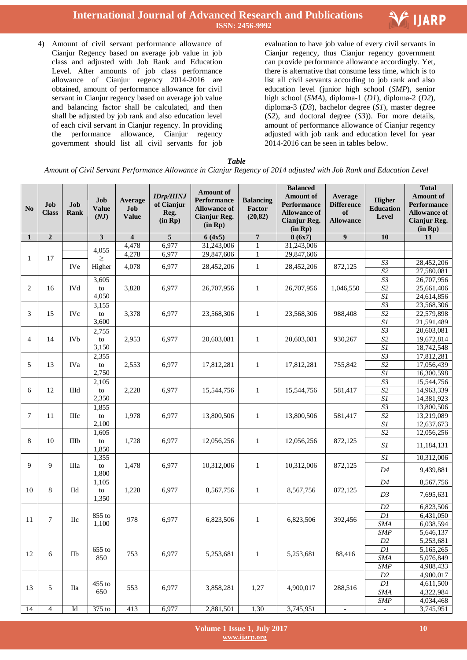

4) Amount of civil servant performance allowance of Cianjur Regency based on average job value in job class and adjusted with Job Rank and Education Level. After amounts of job class performance allowance of Cianjur regency 2014-2016 are obtained, amount of performance allowance for civil servant in Cianjur regency based on average job value and balancing factor shall be calculated, and then shall be adjusted by job rank and also education level of each civil servant in Cianjur regency. In providing the performance allowance, Cianjur regency government should list all civil servants for job  evaluation to have job value of every civil servants in Cianjur regency, thus Cianjur regency government can provide performance allowance accordingly. Yet, there is alternative that consume less time, which is to list all civil servants according to job rank and also education level (junior high school (*SMP*), senior high school (*SMA*), diploma-1 (*D1*), diploma-2 (*D2*), diploma-3 (*D3*), bachelor degree (*S1*), master degree (*S2*), and doctoral degree (*S3*)). For more details, amount of performance allowance of Cianjur regency adjusted with job rank and education level for year 2014-2016 can be seen in tables below.

*Table* 

*Amount of Civil Servant Performance Allowance in Cianjur Regency of 2014 adjusted with Job Rank and Education Level*

| N <sub>0</sub> | Job<br><b>Class</b> | Job<br><b>Rank</b> | Job<br><b>Value</b><br>(NJ) | Average<br>Job<br><b>Value</b> | <b>IDrp/IHNJ</b><br>of Cianjur<br>Reg.<br>(in Rp) | <b>Amount</b> of<br>Performance<br><b>Allowance of</b><br>Cianjur Reg.<br>(in Rp) | <b>Balancing</b><br>Factor<br>(20, 82) | <b>Balanced</b><br><b>Amount of</b><br>Performance<br><b>Allowance of</b><br><b>Cianjur Reg.</b><br>(in Rp) | Average<br><b>Difference</b><br>of<br><b>Allowance</b> | Higher<br><b>Education</b><br>Level | <b>Total</b><br><b>Amount of</b><br><b>Performance</b><br><b>Allowance of</b><br><b>Cianjur Reg.</b><br>(in Rp) |
|----------------|---------------------|--------------------|-----------------------------|--------------------------------|---------------------------------------------------|-----------------------------------------------------------------------------------|----------------------------------------|-------------------------------------------------------------------------------------------------------------|--------------------------------------------------------|-------------------------------------|-----------------------------------------------------------------------------------------------------------------|
| 1              | $\overline{2}$      |                    | 3                           | $\overline{\mathbf{4}}$        | 5                                                 | 6(4x5)                                                                            | $\overline{\mathbf{7}}$                | 8(6x7)                                                                                                      | 9                                                      | 10                                  | 11                                                                                                              |
|                |                     |                    | 4,055                       | 4,478                          | 6,977                                             | 31,243,006                                                                        | 1                                      | 31,243,006                                                                                                  |                                                        |                                     |                                                                                                                 |
| 1              | 17                  |                    | $\geq$                      | 4,278                          | 6,977                                             | 29,847,606                                                                        | 1                                      | 29,847,606                                                                                                  |                                                        |                                     |                                                                                                                 |
|                |                     | <b>IVe</b>         | Higher                      | 4,078                          | 6,977                                             | 28,452,206                                                                        | $\mathbf{1}$                           | 28,452,206                                                                                                  | 872,125                                                | S <sub>3</sub>                      | 28,452,206                                                                                                      |
|                |                     |                    |                             |                                |                                                   |                                                                                   |                                        |                                                                                                             |                                                        | S <sub>2</sub>                      | 27,580,081                                                                                                      |
|                |                     |                    | 3,605                       |                                |                                                   |                                                                                   |                                        |                                                                                                             |                                                        | $\overline{S3}$                     | 26,707,956                                                                                                      |
| 2              | 16                  | <b>IVd</b>         | to                          | 3,828                          | 6,977                                             | 26,707,956                                                                        | 1                                      | 26,707,956                                                                                                  | 1,046,550                                              | $\sqrt{S2}$                         | 25,661,406                                                                                                      |
|                |                     |                    | 4,050                       |                                |                                                   |                                                                                   |                                        |                                                                                                             |                                                        | SI<br>$\overline{S3}$               | 24,614,856<br>23,568,306                                                                                        |
| 3              | 15                  |                    | 3,155                       |                                |                                                   |                                                                                   |                                        |                                                                                                             |                                                        | $\overline{S2}$                     | 22,579,898                                                                                                      |
|                |                     | <b>IVc</b>         | to<br>3,600                 | 3,378                          | 6,977                                             | 23,568,306                                                                        | 1                                      | 23,568,306                                                                                                  | 988,408                                                | $\overline{SI}$                     | 21,591,489                                                                                                      |
|                |                     |                    | 2,755                       |                                |                                                   |                                                                                   |                                        |                                                                                                             |                                                        | S3                                  | 20,603,081                                                                                                      |
| $\overline{4}$ | 14                  | <b>IVb</b>         | to                          | 2,953                          | 6,977                                             | 20,603,081                                                                        | $\mathbf{1}$                           | 20,603,081                                                                                                  | 930,267                                                | S <sub>2</sub>                      | 19,672,814                                                                                                      |
|                |                     |                    | 3,150                       |                                |                                                   |                                                                                   |                                        |                                                                                                             |                                                        | $\overline{SI}$                     | 18,742,548                                                                                                      |
|                |                     |                    | 2,355                       |                                |                                                   |                                                                                   |                                        |                                                                                                             |                                                        | $\overline{S3}$                     | 17,812,281                                                                                                      |
| 5              | 13                  | <b>IVa</b>         | to                          | 2,553                          | 6,977                                             | 17,812,281                                                                        | 1                                      | 17,812,281                                                                                                  | 755,842                                                | S <sub>2</sub>                      | 17,056,439                                                                                                      |
|                |                     |                    | 2,750                       |                                |                                                   |                                                                                   |                                        |                                                                                                             |                                                        | $\overline{SI}$                     | 16,300,598                                                                                                      |
|                |                     |                    | 2,105                       |                                |                                                   |                                                                                   |                                        |                                                                                                             |                                                        | S3                                  | 15,544,756                                                                                                      |
| 6              | 12                  | <b>IIId</b>        | to                          | 2,228                          | 6,977                                             | 15,544,756                                                                        | 1                                      | 15,544,756                                                                                                  | 581,417                                                | $\overline{S2}$                     | 14,963,339                                                                                                      |
|                |                     |                    | 2,350                       |                                |                                                   |                                                                                   |                                        |                                                                                                             |                                                        | $\overline{SI}$                     | 14,381,923                                                                                                      |
|                |                     |                    | 1,855                       |                                |                                                   |                                                                                   |                                        |                                                                                                             |                                                        | S3                                  | 13,800,506                                                                                                      |
| 7              | 11                  | IIIc               | to                          | 1,978                          | 6,977                                             | 13,800,506                                                                        | $\mathbf{1}$                           | 13,800,506                                                                                                  | 581,417                                                | $\overline{S2}$                     | 13,219,089                                                                                                      |
|                |                     |                    | 2,100                       |                                |                                                   |                                                                                   |                                        |                                                                                                             |                                                        | $\overline{SI}$                     | 12,637,673                                                                                                      |
|                |                     |                    | 1,605                       |                                |                                                   |                                                                                   |                                        |                                                                                                             |                                                        | S <sub>2</sub>                      | 12,056,256                                                                                                      |
| 8              | 10                  | IIIb               | to                          | 1,728                          | 6,977                                             | 12,056,256                                                                        | 1                                      | 12,056,256                                                                                                  | 872,125                                                |                                     |                                                                                                                 |
|                |                     |                    | 1,850                       |                                |                                                   |                                                                                   |                                        |                                                                                                             |                                                        | SI                                  | 11,184,131                                                                                                      |
|                |                     |                    | 1,355                       |                                |                                                   |                                                                                   |                                        |                                                                                                             |                                                        | S1                                  | 10,312,006                                                                                                      |
| 9              | 9                   | IIIa               | to                          | 1,478                          | 6,977                                             | 10,312,006                                                                        | 1                                      | 10,312,006                                                                                                  | 872,125                                                | D <sub>4</sub>                      | 9,439,881                                                                                                       |
|                |                     |                    | 1,800                       |                                |                                                   |                                                                                   |                                        |                                                                                                             |                                                        |                                     |                                                                                                                 |
|                |                     |                    | 1,105                       |                                |                                                   |                                                                                   |                                        |                                                                                                             |                                                        | $\overline{D4}$                     | 8,567,756                                                                                                       |
| 10             | 8                   | IId                | to                          | 1,228                          | 6,977                                             | 8,567,756                                                                         | 1                                      | 8,567,756                                                                                                   | 872,125                                                | D3                                  | 7,695,631                                                                                                       |
|                |                     |                    | 1,350                       |                                |                                                   |                                                                                   |                                        |                                                                                                             |                                                        |                                     |                                                                                                                 |
|                |                     |                    |                             |                                |                                                   |                                                                                   |                                        |                                                                                                             |                                                        | D2                                  | 6,823,506                                                                                                       |
| 11             | $\overline{7}$      | <b>IIc</b>         | 855 to                      | 978                            | 6,977                                             | 6,823,506                                                                         | 1                                      | 6,823,506                                                                                                   | 392,456                                                | DI<br><b>SMA</b>                    | 6,431,050                                                                                                       |
|                |                     |                    | 1,100                       |                                |                                                   |                                                                                   |                                        |                                                                                                             |                                                        |                                     | 6,038,594                                                                                                       |
|                |                     |                    |                             |                                |                                                   |                                                                                   |                                        |                                                                                                             |                                                        | SMP<br>D2                           | 5,646,137                                                                                                       |
|                |                     |                    |                             |                                |                                                   |                                                                                   |                                        |                                                                                                             |                                                        | DI                                  | 5,253,681                                                                                                       |
| 12             | 6                   | IIb                | 655 to<br>850               | 753                            | 6,977                                             | 5,253,681                                                                         | $\mathbf{1}$                           | 5,253,681                                                                                                   | 88,416                                                 | <b>SMA</b>                          | 5,165,265<br>5,076,849                                                                                          |
|                |                     |                    |                             |                                |                                                   |                                                                                   |                                        |                                                                                                             |                                                        | <b>SMP</b>                          | 4,988,433                                                                                                       |
|                |                     |                    |                             |                                |                                                   |                                                                                   |                                        |                                                                                                             |                                                        | D2                                  | 4,900,017                                                                                                       |
|                |                     |                    | $455$ to                    |                                |                                                   |                                                                                   |                                        |                                                                                                             |                                                        | Dl                                  | 4,611,500                                                                                                       |
| 13             | 5                   | Пa                 | 650                         | 553                            | 6,977                                             | 3,858,281                                                                         | 1,27                                   | 4,900,017                                                                                                   | 288,516                                                | SMA                                 | 4,322,984                                                                                                       |
|                |                     |                    |                             |                                |                                                   |                                                                                   |                                        |                                                                                                             |                                                        | SMP                                 | 4,034,468                                                                                                       |
| 14             | $\overline{4}$      | Id                 | 375 to                      | 413                            | 6,977                                             | 2,881,501                                                                         | 1,30                                   | 3,745,951                                                                                                   | $\mathbb{L}^2$                                         | $\omega$                            | 3,745,951                                                                                                       |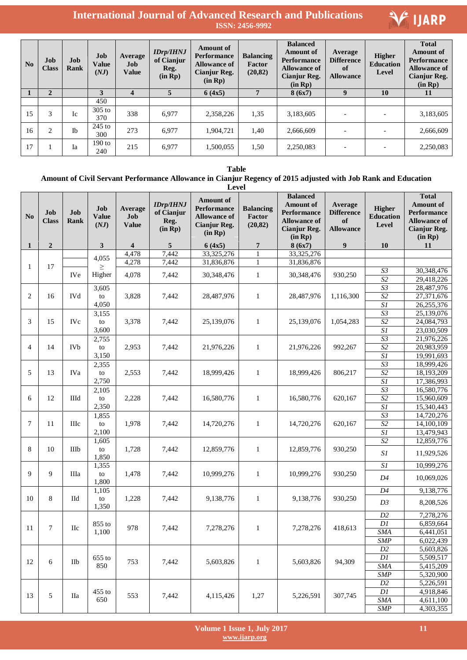| <b>No</b> | Job<br><b>Class</b> | Job<br>Rank | Job<br><b>Value</b><br>(NJ) | Average<br>Job<br><b>Value</b> | <b>IDrp/IHNJ</b><br>of Cianjur<br>Reg.<br>(in Rp) | Amount of<br><b>Performance</b><br><b>Allowance of</b><br>Cianjur Reg.<br>(in Rp) | <b>Balancing</b><br>Factor<br>(20, 82) | <b>Balanced</b><br><b>Amount</b> of<br><b>Performance</b><br><b>Allowance of</b><br>Cianjur Reg.<br>(in Rp) | Average<br><b>Difference</b><br><sub>of</sub><br><b>Allowance</b> | <b>Higher</b><br><b>Education</b><br>Level | <b>Total</b><br><b>Amount of</b><br><b>Performance</b><br><b>Allowance of</b><br><b>Cianjur Reg.</b><br>(in Rp) |
|-----------|---------------------|-------------|-----------------------------|--------------------------------|---------------------------------------------------|-----------------------------------------------------------------------------------|----------------------------------------|-------------------------------------------------------------------------------------------------------------|-------------------------------------------------------------------|--------------------------------------------|-----------------------------------------------------------------------------------------------------------------|
|           | $\overline{2}$      |             | 3                           | 4                              | $\overline{5}$                                    | 6(4x5)                                                                            |                                        | 8(6x7)                                                                                                      | $\boldsymbol{9}$                                                  | 10                                         | 11                                                                                                              |
|           |                     |             | 450                         |                                |                                                   |                                                                                   |                                        |                                                                                                             |                                                                   |                                            |                                                                                                                 |
| 15        | 3                   | Ic          | $305$ to<br>370             | 338                            | 6,977                                             | 2,358,226                                                                         | 1,35                                   | 3,183,605                                                                                                   |                                                                   |                                            | 3,183,605                                                                                                       |
| 16        | $\mathfrak{D}$      | <b>Ib</b>   | $245$ to<br>300             | 273                            | 6.977                                             | 1.904.721                                                                         | 1,40                                   | 2.666.609                                                                                                   |                                                                   |                                            | 2,666,609                                                                                                       |
| 17        |                     | Ia          | $190$ to<br>240             | 215                            | 6,977                                             | 1,500,055                                                                         | 1,50                                   | 2,250,083                                                                                                   |                                                                   |                                            | 2,250,083                                                                                                       |

**Table** 

#### **Amount of Civil Servant Performance Allowance in Cianjur Regency of 2015 adjusted with Job Rank and Education**

|                | Level               |                    |                             |                                  |                                                   |                                                                                                 |                                        |                                                                                                             |                                                        |                                            |                                                                                                                 |           |
|----------------|---------------------|--------------------|-----------------------------|----------------------------------|---------------------------------------------------|-------------------------------------------------------------------------------------------------|----------------------------------------|-------------------------------------------------------------------------------------------------------------|--------------------------------------------------------|--------------------------------------------|-----------------------------------------------------------------------------------------------------------------|-----------|
| N <sub>o</sub> | Job<br><b>Class</b> | Job<br><b>Rank</b> | Job<br><b>Value</b><br>(NJ) | Average<br>$Job$<br><b>Value</b> | <b>IDrp/IHNJ</b><br>of Cianjur<br>Reg.<br>(in Rp) | <b>Amount of</b><br><b>Performance</b><br><b>Allowance of</b><br><b>Cianjur Reg.</b><br>(in Rp) | <b>Balancing</b><br>Factor<br>(20, 82) | <b>Balanced</b><br><b>Amount</b> of<br>Performance<br><b>Allowance of</b><br><b>Cianjur Reg.</b><br>(in Rp) | Average<br><b>Difference</b><br>of<br><b>Allowance</b> | <b>Higher</b><br><b>Education</b><br>Level | <b>Total</b><br><b>Amount of</b><br><b>Performance</b><br><b>Allowance of</b><br><b>Cianjur Reg.</b><br>(in Rp) |           |
| $\mathbf{1}$   | $\overline{2}$      |                    | 3                           | $\overline{\mathbf{4}}$          | 5                                                 | 6(4x5)                                                                                          | $\overline{7}$                         | 8(6x7)                                                                                                      | 9                                                      | 10                                         | 11                                                                                                              |           |
|                |                     |                    | 4,055                       | 4,478                            | 7,442                                             | 33,325,276                                                                                      | $\mathbf{1}$                           | 33,325,276                                                                                                  |                                                        |                                            |                                                                                                                 |           |
| 1              | 17                  |                    | $\geq$                      | 4,278                            | 7,442                                             | 31,836,876                                                                                      | $\mathbf{1}$                           | 31,836,876                                                                                                  |                                                        |                                            |                                                                                                                 |           |
|                |                     | <b>IVe</b>         | Higher                      | 4,078                            | 7,442                                             | 30,348,476                                                                                      | $\mathbf{1}$                           | 30,348,476                                                                                                  | 930,250                                                | $S3$                                       | 30,348,476                                                                                                      |           |
|                |                     |                    |                             |                                  |                                                   |                                                                                                 |                                        |                                                                                                             |                                                        | S <sub>2</sub>                             | 29,418,226                                                                                                      |           |
|                |                     |                    | 3,605                       |                                  |                                                   |                                                                                                 |                                        |                                                                                                             |                                                        | $\overline{S3}$                            | 28,487,976                                                                                                      |           |
| $\overline{2}$ | 16                  | <b>IVd</b>         | to                          | 3,828                            | 7,442                                             | 28,487,976                                                                                      | $\mathbf{1}$                           | 28,487,976                                                                                                  | 1,116,300                                              | S <sub>2</sub>                             | 27,371,676                                                                                                      |           |
|                |                     |                    | 4,050                       |                                  |                                                   |                                                                                                 |                                        |                                                                                                             |                                                        | $\overline{SI}$                            | 26,255,376                                                                                                      |           |
|                |                     |                    | 3,155                       |                                  |                                                   |                                                                                                 | $\mathbf{1}$                           |                                                                                                             |                                                        | $\overline{S3}$                            | 25,139,076                                                                                                      |           |
| 3              | 15                  | <b>IVc</b>         | to                          | 3,378                            | 7,442                                             | 25,139,076                                                                                      |                                        | 25,139,076                                                                                                  | 1,054,283                                              | S2                                         | 24,084,793                                                                                                      |           |
|                |                     |                    | 3,600                       |                                  |                                                   |                                                                                                 |                                        |                                                                                                             |                                                        | $\overline{SI}$                            | 23,030,509                                                                                                      |           |
|                |                     |                    | 2,755                       |                                  |                                                   |                                                                                                 |                                        |                                                                                                             |                                                        | S3                                         | 21,976,226                                                                                                      |           |
| $\overline{4}$ | 14                  | <b>IVb</b>         | to                          | 2,953                            | 7,442                                             | 21,976,226                                                                                      | $\mathbf{1}$                           | 21,976,226                                                                                                  | 992,267                                                | $\overline{S2}$                            | 20,983,959                                                                                                      |           |
|                |                     |                    | 3,150                       |                                  |                                                   |                                                                                                 |                                        |                                                                                                             |                                                        | $\overline{SI}$                            | 19,991,693                                                                                                      |           |
|                |                     |                    | 2,355                       |                                  |                                                   |                                                                                                 |                                        |                                                                                                             |                                                        | S3                                         | 18,999,426                                                                                                      |           |
| 5              | 13                  | <b>IVa</b>         | to                          | 2,553                            | 7,442                                             | 18,999,426                                                                                      | $\mathbf{1}$                           | 18,999,426                                                                                                  | 806,217                                                | S <sub>2</sub>                             | 18,193,209                                                                                                      |           |
|                |                     |                    | 2,750                       |                                  |                                                   |                                                                                                 |                                        |                                                                                                             |                                                        | SI                                         | 17,386,993                                                                                                      |           |
|                |                     |                    | 2,105                       |                                  |                                                   |                                                                                                 |                                        |                                                                                                             |                                                        | $\overline{S3}$                            | 16,580,776                                                                                                      |           |
| 6              | 12                  | Шd                 | to                          | 2,228                            | 7,442                                             | 16,580,776                                                                                      | $\mathbf{1}$                           | 16,580,776                                                                                                  | 620,167                                                | S <sub>2</sub>                             | 15,960,609                                                                                                      |           |
|                |                     |                    | 2,350                       |                                  |                                                   |                                                                                                 |                                        |                                                                                                             |                                                        | $\overline{SI}$                            | 15,340,443                                                                                                      |           |
|                |                     |                    | 1,855                       |                                  |                                                   |                                                                                                 |                                        | 14,720,276                                                                                                  | 620,167                                                | S3                                         | 14,720,276                                                                                                      |           |
| 7              | 11                  | <b>IIIc</b>        | to                          | 1,978                            | 7,442                                             | 14,720,276                                                                                      | $\mathbf{1}$                           |                                                                                                             |                                                        | S <sub>2</sub>                             | 14,100,109                                                                                                      |           |
|                |                     |                    | 2,100                       |                                  |                                                   |                                                                                                 |                                        |                                                                                                             |                                                        | $\overline{SI}$                            | 13,479,943                                                                                                      |           |
| 8              | 10                  | IIIb               | 1,605                       |                                  |                                                   |                                                                                                 | $\mathbf{1}$                           |                                                                                                             | 930,250                                                | S <sub>2</sub>                             | 12,859,776                                                                                                      |           |
|                |                     |                    | to<br>1,850                 | 1,728                            | 7,442                                             | 12,859,776                                                                                      |                                        | 12,859,776                                                                                                  |                                                        | SI                                         | 11,929,526                                                                                                      |           |
|                |                     |                    | 1,355                       |                                  |                                                   |                                                                                                 |                                        |                                                                                                             |                                                        | $\overline{SI}$                            | 10,999,276                                                                                                      |           |
| 9              | 9                   | IIIa               | to                          | 1,478                            | 7,442                                             | 10,999,276                                                                                      | $\mathbf{1}$                           | 10,999,276                                                                                                  | 930,250                                                |                                            |                                                                                                                 |           |
|                |                     |                    | 1,800                       |                                  |                                                   |                                                                                                 |                                        |                                                                                                             |                                                        | D4                                         | 10,069,026                                                                                                      |           |
|                |                     |                    | 1,105                       |                                  |                                                   |                                                                                                 |                                        |                                                                                                             |                                                        | D4                                         | 9,138,776                                                                                                       |           |
| 10             | 8                   | Пd                 | to                          | 1,228                            | 7,442                                             | 9,138,776                                                                                       | $\mathbf{1}$                           | 9,138,776                                                                                                   | 930,250                                                |                                            |                                                                                                                 |           |
|                |                     |                    | 1,350                       |                                  |                                                   |                                                                                                 |                                        |                                                                                                             |                                                        | D3                                         | 8,208,526                                                                                                       |           |
|                |                     |                    |                             |                                  |                                                   |                                                                                                 |                                        |                                                                                                             |                                                        | D2                                         | 7,278,276                                                                                                       |           |
|                |                     |                    | 855 to                      |                                  |                                                   |                                                                                                 |                                        |                                                                                                             |                                                        | $\mathbb{D} \mathbb{I}$                    | 6,859,664                                                                                                       |           |
| 11             | 7                   | <b>IIc</b>         | 1,100                       | 978                              | 7,442                                             | 7,278,276                                                                                       | $\mathbf{1}$                           | 7,278,276                                                                                                   | 418,613                                                | <b>SMA</b>                                 | $\overline{6,441}$ ,051                                                                                         |           |
|                |                     |                    |                             |                                  |                                                   |                                                                                                 |                                        |                                                                                                             |                                                        | <b>SMP</b>                                 | 6,022,439                                                                                                       |           |
|                |                     |                    |                             |                                  |                                                   |                                                                                                 |                                        |                                                                                                             |                                                        | D2                                         | 5,603,826                                                                                                       |           |
|                |                     |                    | $655$ to                    | 753                              |                                                   |                                                                                                 |                                        |                                                                                                             |                                                        | $\mathbb{D} \mathbb{I}$                    | 5,509,517                                                                                                       |           |
| 12             | 6                   | IIb                | 850                         |                                  | 7,442                                             | 5,603,826                                                                                       | $\mathbf{1}$                           | 5,603,826                                                                                                   | 94,309                                                 | SMA                                        | 5,415,209                                                                                                       |           |
|                |                     |                    |                             |                                  |                                                   |                                                                                                 |                                        |                                                                                                             |                                                        | SMP                                        | 5,320,900                                                                                                       |           |
|                |                     |                    |                             |                                  |                                                   |                                                                                                 |                                        |                                                                                                             |                                                        | D2                                         | 5,226,591                                                                                                       |           |
|                |                     |                    | 455 to                      |                                  |                                                   |                                                                                                 |                                        |                                                                                                             |                                                        | DI                                         | 4,918,846                                                                                                       |           |
| 13             | 5                   | <b>IIa</b>         | 650                         | 553                              | 7,442                                             | 4,115,426                                                                                       | 1,27                                   | 5,226,591                                                                                                   | 307,745                                                | SMA                                        | 4,611,100                                                                                                       |           |
|                |                     |                    |                             |                                  |                                                   |                                                                                                 |                                        |                                                                                                             |                                                        |                                            | <b>SMP</b>                                                                                                      | 4,303,355 |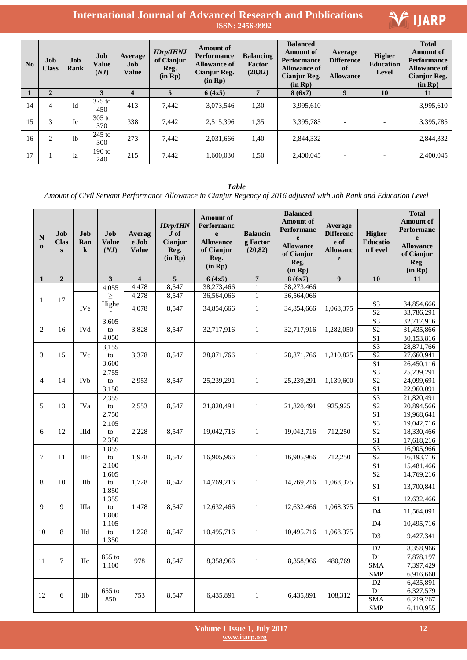

| N <sub>0</sub> | Job<br><b>Class</b> | Job<br>Rank | Job<br><b>Value</b><br>(NJ) | Average<br>Job<br><b>Value</b> | <b>IDrp/IHNJ</b><br>of Cianjur<br>Reg.<br>(in Rp) | <b>Amount</b> of<br><b>Performance</b><br><b>Allowance of</b><br>Cianjur Reg.<br>(in Rp) | <b>Balancing</b><br>Factor<br>(20, 82) | <b>Balanced</b><br><b>Amount</b> of<br><b>Performance</b><br><b>Allowance of</b><br>Cianjur Reg.<br>(in Rp) | Average<br><b>Difference</b><br>of<br><b>Allowance</b> | Higher<br><b>Education</b><br>Level | <b>Total</b><br><b>Amount of</b><br><b>Performance</b><br><b>Allowance of</b><br>Cianjur Reg.<br>(in Rp) |
|----------------|---------------------|-------------|-----------------------------|--------------------------------|---------------------------------------------------|------------------------------------------------------------------------------------------|----------------------------------------|-------------------------------------------------------------------------------------------------------------|--------------------------------------------------------|-------------------------------------|----------------------------------------------------------------------------------------------------------|
|                | $\overline{2}$      |             | 3                           | $\overline{\mathbf{4}}$        | 5                                                 | 6(4x5)                                                                                   | 7                                      | 8(6x7)                                                                                                      | $\boldsymbol{9}$                                       | 10                                  | 11                                                                                                       |
| 14             | $\overline{4}$      | Id          | $375$ to<br>450             | 413                            | 7.442                                             | 3,073,546                                                                                | 1,30                                   | 3,995,610                                                                                                   | $\overline{\phantom{0}}$                               |                                     | 3,995,610                                                                                                |
| 15             | 3                   | <b>Ic</b>   | $305$ to<br>370             | 338                            | 7,442                                             | 2,515,396                                                                                | 1,35                                   | 3,395,785                                                                                                   |                                                        |                                     | 3,395,785                                                                                                |
| 16             | 2                   | <b>Ib</b>   | $245$ to<br>300             | 273                            | 7,442                                             | 2.031.666                                                                                | 1,40                                   | 2,844,332                                                                                                   | $\overline{\phantom{0}}$                               |                                     | 2,844,332                                                                                                |
| 17             |                     | Ia          | $190$ to<br>240             | 215                            | 7,442                                             | 1,600,030                                                                                | 1,50                                   | 2,400,045                                                                                                   | $\overline{\phantom{0}}$                               |                                     | 2,400,045                                                                                                |

### *Table*

*Amount of Civil Servant Performance Allowance in Cianjur Regency of 2016 adjusted with Job Rank and Education Level*

| N<br>$\Omega$  | Job<br><b>Clas</b><br>$\mathbf{s}$ | Job<br>Ran<br>$\bf k$ | Job<br><b>Value</b><br>(NJ) | Averag<br>e Job<br><b>Value</b> | <b>IDrp/IHN</b><br>$J \circ f$<br>Cianjur<br>Reg.<br>(in Rp) | <b>Amount of</b><br><b>Performanc</b><br>e<br><b>Allowance</b><br>of Cianjur<br>Reg.<br>(in Rp) | <b>Balancin</b><br>g Factor<br>(20, 82) | <b>Balanced</b><br><b>Amount of</b><br><b>Performanc</b><br>e<br><b>Allowance</b><br>of Cianjur<br>Reg.<br>(in Rp) | Average<br><b>Differenc</b><br>e of<br><b>Allowanc</b><br>e | Higher<br>Educatio<br>n Level    | <b>Total</b><br><b>Amount of</b><br><b>Performanc</b><br>e<br><b>Allowance</b><br>of Cianjur<br>Reg.<br>(in Rp) |
|----------------|------------------------------------|-----------------------|-----------------------------|---------------------------------|--------------------------------------------------------------|-------------------------------------------------------------------------------------------------|-----------------------------------------|--------------------------------------------------------------------------------------------------------------------|-------------------------------------------------------------|----------------------------------|-----------------------------------------------------------------------------------------------------------------|
| $\mathbf{1}$   | $\overline{2}$                     |                       | 3                           | $\overline{\mathbf{4}}$         | 5                                                            | 6(4x5)                                                                                          | $\overline{7}$                          | 8(6x7)                                                                                                             | 9                                                           | 10                               | 11                                                                                                              |
|                |                                    |                       | 4,055                       | 4,478                           | 8,547                                                        | 38,273,466                                                                                      | 1                                       | 38,273,466                                                                                                         |                                                             |                                  |                                                                                                                 |
| 1              | 17                                 |                       | $\geq$                      | 4,278                           | 8,547                                                        | 36,564,066                                                                                      | $\mathbf{1}$                            | 36,564,066                                                                                                         |                                                             |                                  |                                                                                                                 |
|                |                                    | <b>IVe</b>            | Highe<br>$\mathbf r$        | 4,078                           | 8,547                                                        | 34,854,666                                                                                      | $\mathbf{1}$                            | 34,854,666                                                                                                         | 1,068,375                                                   | S <sub>3</sub><br>S <sub>2</sub> | 34,854,666<br>33,786,291                                                                                        |
|                |                                    |                       | 3,605                       |                                 |                                                              |                                                                                                 |                                         |                                                                                                                    |                                                             | S <sub>3</sub>                   | 32,717,916                                                                                                      |
| $\overline{2}$ | 16                                 | <b>IVd</b>            | to                          | 3,828                           | 8,547                                                        | 32,717,916                                                                                      | $\,1$                                   | 32,717,916                                                                                                         | 1,282,050                                                   | $\overline{S2}$                  | 31,435,866                                                                                                      |
|                |                                    |                       | 4,050                       |                                 |                                                              |                                                                                                 |                                         |                                                                                                                    |                                                             | S <sub>1</sub>                   | 30,153,816                                                                                                      |
|                |                                    |                       | 3,155                       |                                 |                                                              |                                                                                                 |                                         |                                                                                                                    |                                                             | $\overline{S3}$                  | 28,871,766                                                                                                      |
| 3              | 15                                 | <b>IVc</b>            | to                          | 3,378                           | 8,547                                                        | 28,871,766                                                                                      | $\mathbf{1}$                            | 28,871,766                                                                                                         | 1,210,825                                                   | $\overline{S2}$                  | 27,660,941                                                                                                      |
|                |                                    |                       | 3,600                       |                                 |                                                              |                                                                                                 |                                         |                                                                                                                    |                                                             | $\overline{S1}$                  | 26,450,116                                                                                                      |
|                |                                    |                       | 2.755<br>to<br>3,150        |                                 |                                                              |                                                                                                 |                                         |                                                                                                                    | 1,139,600                                                   | $\overline{S3}$                  | 25,239,291                                                                                                      |
| $\overline{4}$ | 14                                 | <b>IVb</b>            |                             | 2,953                           | 8,547                                                        | 25,239,291                                                                                      | $\mathbf{1}$                            | 25,239,291                                                                                                         |                                                             | S <sub>2</sub>                   | 24,099,691                                                                                                      |
|                |                                    |                       |                             |                                 |                                                              |                                                                                                 |                                         |                                                                                                                    |                                                             | $\overline{S1}$                  | 22,960,091                                                                                                      |
|                |                                    |                       | 2,355                       |                                 |                                                              |                                                                                                 |                                         |                                                                                                                    |                                                             | S <sub>3</sub>                   | 21,820,491                                                                                                      |
|                | 5<br>13                            | <b>IVa</b>            | to                          | 2,553                           | 8,547                                                        | 21,820,491                                                                                      | $\mathbf{1}$                            | 21,820,491                                                                                                         | 925,925                                                     | S <sub>2</sub>                   | 20,894,566                                                                                                      |
|                |                                    |                       | 2,750                       |                                 |                                                              |                                                                                                 |                                         |                                                                                                                    |                                                             | S <sub>1</sub>                   | 19,968,641                                                                                                      |
|                |                                    |                       | 2,105                       |                                 |                                                              |                                                                                                 |                                         |                                                                                                                    |                                                             | S <sub>3</sub>                   | 19,042,716                                                                                                      |
| 6              | 12                                 | <b>IIId</b>           | to                          | 2,228                           | 8,547                                                        | 19,042,716                                                                                      | $\mathbf{1}$                            | 19,042,716                                                                                                         | 712,250                                                     | $\overline{S2}$                  | 18,330,466                                                                                                      |
|                |                                    |                       | 2,350                       |                                 |                                                              |                                                                                                 |                                         |                                                                                                                    |                                                             | S <sub>1</sub>                   | 17,618,216                                                                                                      |
|                |                                    |                       |                             |                                 |                                                              |                                                                                                 |                                         |                                                                                                                    |                                                             | $\overline{\text{S}3}$           | 16,905,966                                                                                                      |
| $\tau$         | 11                                 | Шc                    | 1,855<br>to                 | 1,978                           |                                                              | 16,905,966                                                                                      | $\mathbf{1}$                            | 16,905,966                                                                                                         | 712,250                                                     | $\overline{S2}$                  | 16,193,716                                                                                                      |
|                |                                    |                       | 2,100                       |                                 | 8,547                                                        |                                                                                                 |                                         |                                                                                                                    |                                                             | $\overline{S1}$                  | 15,481,466                                                                                                      |
|                |                                    |                       |                             |                                 |                                                              |                                                                                                 |                                         |                                                                                                                    |                                                             | S <sub>2</sub>                   | 14,769,216                                                                                                      |
| 8              | 10                                 | <b>IIIb</b>           | 1,605<br>to                 | 1,728                           | 8,547                                                        | 14,769,216                                                                                      | $\mathbf{1}$                            | 14,769,216                                                                                                         | 1,068,375                                                   |                                  |                                                                                                                 |
|                |                                    |                       | 1,850                       |                                 |                                                              |                                                                                                 |                                         |                                                                                                                    |                                                             | S <sub>1</sub>                   | 13,700,841                                                                                                      |
|                |                                    |                       | 1,355                       |                                 |                                                              |                                                                                                 |                                         |                                                                                                                    |                                                             | S <sub>1</sub>                   | 12,632,466                                                                                                      |
| $\mathbf Q$    | 9                                  | IIIa                  | to<br>1,800                 | 1,478                           | 8,547                                                        | 12,632,466                                                                                      | $\mathbf{1}$                            | 12,632,466                                                                                                         | 1,068,375                                                   | D <sub>4</sub>                   | 11,564,091                                                                                                      |
|                |                                    |                       | 1,105                       |                                 |                                                              |                                                                                                 |                                         |                                                                                                                    |                                                             | $\overline{D4}$                  | 10,495,716                                                                                                      |
| 10             | 8                                  | IId                   | to<br>1,350                 | 1,228                           | 8,547                                                        | 10,495,716                                                                                      | $\mathbf{1}$                            | 10,495,716                                                                                                         | 1,068,375                                                   | D <sub>3</sub>                   | 9,427,341                                                                                                       |
|                |                                    |                       |                             |                                 |                                                              |                                                                                                 |                                         |                                                                                                                    |                                                             | D2                               | 8,358,966                                                                                                       |
|                |                                    |                       | 855 to                      |                                 |                                                              |                                                                                                 |                                         |                                                                                                                    |                                                             | D <sub>1</sub>                   | 7,878,197                                                                                                       |
| 11             | $\tau$                             | <b>IIc</b>            | 1,100                       | 978                             | 8,547                                                        | 8,358,966                                                                                       | $\mathbf{1}$                            | 8,358,966                                                                                                          | 480,769                                                     | <b>SMA</b>                       | 7,397,429                                                                                                       |
|                |                                    |                       |                             |                                 |                                                              |                                                                                                 |                                         |                                                                                                                    |                                                             | <b>SMP</b>                       | 6,916,660                                                                                                       |
|                |                                    |                       |                             |                                 |                                                              |                                                                                                 |                                         |                                                                                                                    |                                                             | D2                               | 6,435,891                                                                                                       |
|                |                                    |                       | $655$ to                    |                                 |                                                              |                                                                                                 |                                         |                                                                                                                    |                                                             | $\overline{D1}$                  | 6,327,579                                                                                                       |
| 12             | 6                                  | IIb                   | 753<br>850                  |                                 | 8,547                                                        | 6,435,891                                                                                       | $\mathbf{1}$                            | 6,435,891                                                                                                          | 108,312                                                     | <b>SMA</b>                       | 6,219,267                                                                                                       |
|                |                                    |                       |                             |                                 |                                                              |                                                                                                 |                                         |                                                                                                                    |                                                             | <b>SMP</b>                       | 6,110,955                                                                                                       |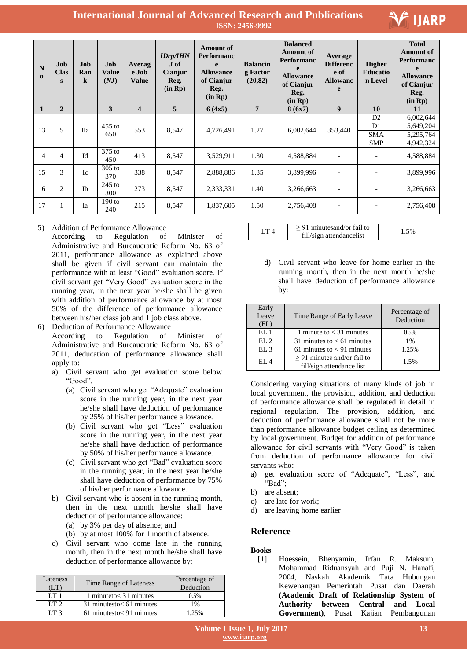

| N<br>$\Omega$ | Job<br><b>Clas</b><br>S | Job<br>Ran<br>$\bf k$ | Job<br><b>Value</b><br>(NJ) | Averag<br>e Job<br><b>Value</b> | <b>IDrp/IHN</b><br>$J \text{ of }$<br>Cianjur<br>Reg.<br>(in Rp) | <b>Amount of</b><br><b>Performanc</b><br>$\mathbf{e}$<br><b>Allowance</b><br>of Cianjur<br>Reg.<br>(in Rp) | <b>Balancin</b><br>g Factor<br>(20, 82) | <b>Balanced</b><br><b>Amount of</b><br><b>Performanc</b><br>e<br><b>Allowance</b><br>of Cianjur<br>Reg.<br>(in Rp) | Average<br><b>Differenc</b><br>e of<br><b>Allowanc</b><br>e | <b>Higher</b><br><b>Educatio</b><br>n Level | <b>Total</b><br><b>Amount of</b><br><b>Performanc</b><br>e<br><b>Allowance</b><br>of Cianjur<br>Reg.<br>(in Rp) |
|---------------|-------------------------|-----------------------|-----------------------------|---------------------------------|------------------------------------------------------------------|------------------------------------------------------------------------------------------------------------|-----------------------------------------|--------------------------------------------------------------------------------------------------------------------|-------------------------------------------------------------|---------------------------------------------|-----------------------------------------------------------------------------------------------------------------|
|               | $\overline{2}$          |                       | 3                           | $\overline{\mathbf{4}}$         | 5                                                                | 6(4x5)                                                                                                     | $\overline{7}$                          | 8(6x7)                                                                                                             | 9                                                           | 10                                          | 11                                                                                                              |
|               |                         |                       |                             |                                 |                                                                  |                                                                                                            |                                         |                                                                                                                    |                                                             | D2                                          | 6,002,644                                                                                                       |
| 13            | 5                       | <b>IIa</b>            | $455$ to                    | 553                             | 8,547                                                            | 4,726,491                                                                                                  | 1.27                                    | 6,002,644                                                                                                          | 353,440                                                     | D <sub>1</sub>                              | 5,649,204                                                                                                       |
|               |                         |                       | 650                         |                                 |                                                                  |                                                                                                            |                                         |                                                                                                                    |                                                             | <b>SMA</b>                                  | 5,295,764                                                                                                       |
|               |                         |                       |                             |                                 |                                                                  |                                                                                                            |                                         |                                                                                                                    |                                                             | <b>SMP</b>                                  | 4,942,324                                                                                                       |
| 14            | $\overline{4}$          | Id                    | $375$ to<br>450             | 413                             | 8,547                                                            | 3,529,911                                                                                                  | 1.30                                    | 4,588,884                                                                                                          | $\overline{\phantom{a}}$                                    | $\qquad \qquad \blacksquare$                | 4,588,884                                                                                                       |
| 15            | 3                       | Ic                    | $305$ to<br>370             | 338                             | 8,547                                                            | 2,888,886                                                                                                  | 1.35                                    | 3,899,996                                                                                                          |                                                             |                                             | 3,899,996                                                                                                       |
| 16            | 2                       | $\mathbb{I}$          | $245$ to<br>300             | 273                             | 8,547                                                            | 2,333,331                                                                                                  | 1.40                                    | 3,266,663                                                                                                          |                                                             |                                             | 3,266,663                                                                                                       |
| 17            |                         | Ia                    | $190$ to<br>240             | 215                             | 8,547                                                            | 1,837,605                                                                                                  | 1.50                                    | 2,756,408                                                                                                          | $\overline{\phantom{a}}$                                    |                                             | 2,756,408                                                                                                       |

### 5) Addition of Performance Allowance

According to Regulation of Minister of Administrative and Bureaucratic Reform No. 63 of 2011, performance allowance as explained above shall be given if civil servant can maintain the performance with at least "Good" evaluation score. If civil servant get "Very Good" evaluation score in the running year, in the next year he/she shall be given with addition of performance allowance by at most 50% of the difference of performance allowance between his/her class job and 1 job class above.

6) Deduction of Performance Allowance

According to Regulation of Minister of Administrative and Bureaucratic Reform No. 63 of 2011, deducation of performance allowance shall apply to:

- a) Civil servant who get evaluation score below "Good".
	- (a) Civil servant who get "Adequate" evaluation score in the running year, in the next year he/she shall have deduction of performance by 25% of his/her performance allowance.
	- (b) Civil servant who get "Less" evaluation score in the running year, in the next year he/she shall have deduction of performance by 50% of his/her performance allowance.
	- (c) Civil servant who get "Bad" evaluation score in the running year, in the next year he/she shall have deduction of performance by 75% of his/her performance allowance.
- b) Civil servant who is absent in the running month, then in the next month he/she shall have deduction of performance allowance:
	- (a) by 3% per day of absence; and
	- (b) by at most 100% for 1 month of absence.
- c) Civil servant who come late in the running month, then in the next month he/she shall have deduction of performance allowance by:

| Lateness<br>ΈT  | Time Range of Lateness        | Percentage of<br>Deduction |
|-----------------|-------------------------------|----------------------------|
| I T I           | 1 minuteto $<$ 31 minutes     | 0.5%                       |
| LT2             | $31$ minutesto $< 61$ minutes | 1%                         |
| LT <sub>3</sub> | $61$ minutesto $< 91$ minutes | 25%                        |

| $> 91$ minutesand/or fail to<br>fill/sign attendancelist |  |
|----------------------------------------------------------|--|
|----------------------------------------------------------|--|

d) Civil servant who leave for home earlier in the running month, then in the next month he/she shall have deduction of performance allowance by:

| Early<br>Leave<br>(EL) | Time Range of Early Leave                                     | Percentage of<br>Deduction |
|------------------------|---------------------------------------------------------------|----------------------------|
| EL1                    | 1 minute to $<$ 31 minutes                                    | 0.5%                       |
| EL2                    | 31 minutes to $< 61$ minutes                                  | 1%                         |
| EL3                    | 61 minutes to $< 91$ minutes                                  | 1.25%                      |
| EL4                    | $\geq$ 91 minutes and/or fail to<br>fill/sign attendance list | 1.5%                       |

Considering varying situations of many kinds of job in local government, the provision, addition, and deduction of performance allowance shall be regulated in detail in regional regulation. The provision, addition, and deduction of performance allowance shall not be more than performance allowance budget ceiling as determined by local government. Budget for addition of performance allowance for civil servants with "Very Good" is taken from deduction of performance allowance for civil servants who:

- a) get evaluation score of "Adequate", "Less", and "Bad";
- b) are absent;
- c) are late for work;
- d) are leaving home earlier

### **Reference**

### **Books**

[1]. Hoessein, Bhenyamin, Irfan R. Maksum, Mohammad Riduansyah and Puji N. Hanafi, 2004, Naskah Akademik Tata Hubungan Kewenangan Pemerintah Pusat dan Daerah **(Academic Draft of Relationship System of Authority between Central and Local Government)**, Pusat Kajian Pembangunan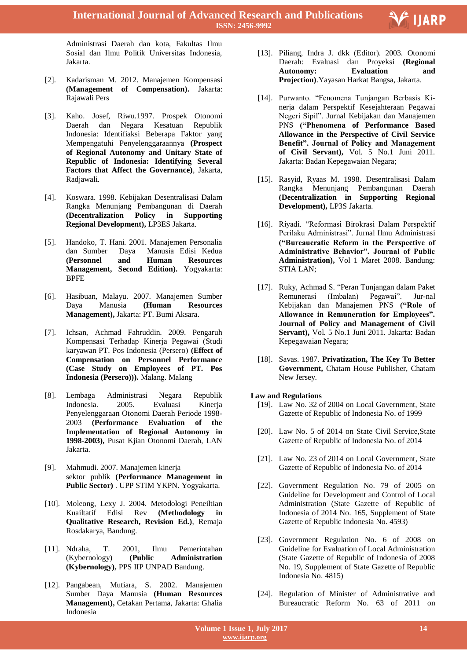Administrasi Daerah dan kota, Fakultas Ilmu Sosial dan Ilmu Politik Universitas Indonesia, Jakarta.

- [2]. Kadarisman M. 2012. Manajemen Kompensasi **(Management of Compensation).** Jakarta: Rajawali Pers
- [3]. Kaho. Josef, Riwu.1997. Prospek Otonomi Daerah dan Negara Kesatuan Republik Indonesia: Identifiaksi Beberapa Faktor yang Mempengatuhi Penyelenggaraannya **(Prospect of Regional Autonomy and Unitary State of Republic of Indonesia: Identifying Several Factors that Affect the Governance)**, Jakarta, Radjawali.
- [4]. Koswara. 1998. Kebijakan Desentralisasi Dalam Rangka Menunjang Pembangunan di Daerah **(Decentralization Policy in Supporting Regional Development),** LP3ES Jakarta.
- [5]. Handoko, T. Hani. 2001. Manajemen Personalia dan Sumber Daya Manusia Edisi Kedua **(Personnel and Human Resources Management, Second Edition).** Yogyakarta: BPFE
- [6]. Hasibuan, Malayu. 2007. Manajemen Sumber Daya Manusia **(Human Resources Management),** Jakarta: PT. Bumi Aksara.
- [7]. Ichsan, Achmad Fahruddin. 2009. Pengaruh Kompensasi Terhadap Kineria Pegawai (Studi karyawan PT. Pos Indonesia (Persero) **(Effect of Compensation on Personnel Performance (Case Study on Employees of PT. Pos Indonesia (Persero))).** Malang. Malang
- [8]. Lembaga Administrasi Negara Republik Indonesia. 2005. Evaluasi Kinerja Penyelenggaraan Otonomi Daerah Periode 1998- 2003 **(Performance Evaluation of the Implementation of Regional Autonomy in 1998-2003),** Pusat Kjian Otonomi Daerah, LAN Jakarta.
- [9]. Mahmudi. 2007. Manajemen kinerja sektor publik **(Performance Management in Public Sector)** . UPP STIM YKPN. Yogyakarta.
- [10]. Moleong, Lexy J. 2004. Metodologi Peneiltian Kuailtatif Edisi Rev **(Methodology in Qualitative Research, Revision Ed.)**, Remaja Rosdakarya, Bandung.
- [11]. Ndraha, T. 2001, Ilmu Pemerintahan (Kybernology) **(Public Administration (Kybernology),** PPS IIP UNPAD Bandung.
- [12]. Pangabean, Mutiara, S. 2002. Manajemen Sumber Daya Manusia **(Human Resources Management),** Cetakan Pertama, Jakarta: Ghalia Indonesia

[13]. Piliang, Indra J. dkk (Editor). 2003. Otonomi Daerah: Evaluasi dan Proyeksi **(Regional Autonomy: Evaluation and Projection)**.Yayasan Harkat Bangsa, Jakarta.

Ξ

E IJARP

- [14]. Purwanto. "Fenomena Tunjangan Berbasis Kinerja dalam Perspektif Kesejahteraan Pegawai Negeri Sipil". Jurnal Kebijakan dan Manajemen PNS **("Phenomena of Performance Based Allowance in the Perspective of Civil Service Benefit". Journal of Policy and Management of Civil Servant),** Vol. 5 No.1 Juni 2011. Jakarta: Badan Kepegawaian Negara;
- [15]. Rasyid, Ryaas M. 1998. Desentralisasi Dalam Rangka Menunjang Pembangunan Daerah **(Decentralization in Supporting Regional Development),** LP3S Jakarta.
- [16]. Riyadi. "Reformasi Birokrasi Dalam Perspektif Perilaku Administrasi". Jurnal Ilmu Administrasi **("Bureaucratic Reform in the Perspective of Administrative Behavior". Journal of Public Administration),** Vol 1 Maret 2008. Bandung: STIA LAN;
- [17]. Ruky, Achmad S. "Peran Tunjangan dalam Paket Remunerasi (Imbalan) Pegawai". Jur-nal Kebijakan dan Manajemen PNS **("Role of Allowance in Remuneration for Employees". Journal of Policy and Management of Civil Servant),** Vol. 5 No.1 Juni 2011. Jakarta: Badan Kepegawaian Negara;
- [18]. Savas. 1987. **Privatization, The Key To Better Government,** Chatam House Publisher, Chatam New Jersey.
- **Law and Regulations**
	- [19]. Law No. 32 of 2004 on Local Government, State Gazette of Republic of Indonesia No. of 1999
	- [20]. Law No. 5 of 2014 on State Civil Service, State Gazette of Republic of Indonesia No. of 2014
	- [21]. Law No. 23 of 2014 on Local Government, State Gazette of Republic of Indonesia No. of 2014
	- [22]. Government Regulation No. 79 of 2005 on Guideline for Development and Control of Local Administration (State Gazette of Republic of Indonesia of 2014 No. 165, Supplement of State Gazette of Republic Indonesia No. 4593)
	- [23]. Government Regulation No. 6 of 2008 on Guideline for Evaluation of Local Administration (State Gazette of Republic of Indonesia of 2008 No. 19, Supplement of State Gazette of Republic Indonesia No. 4815)
	- [24]. Regulation of Minister of Administrative and Bureaucratic Reform No. 63 of 2011 on